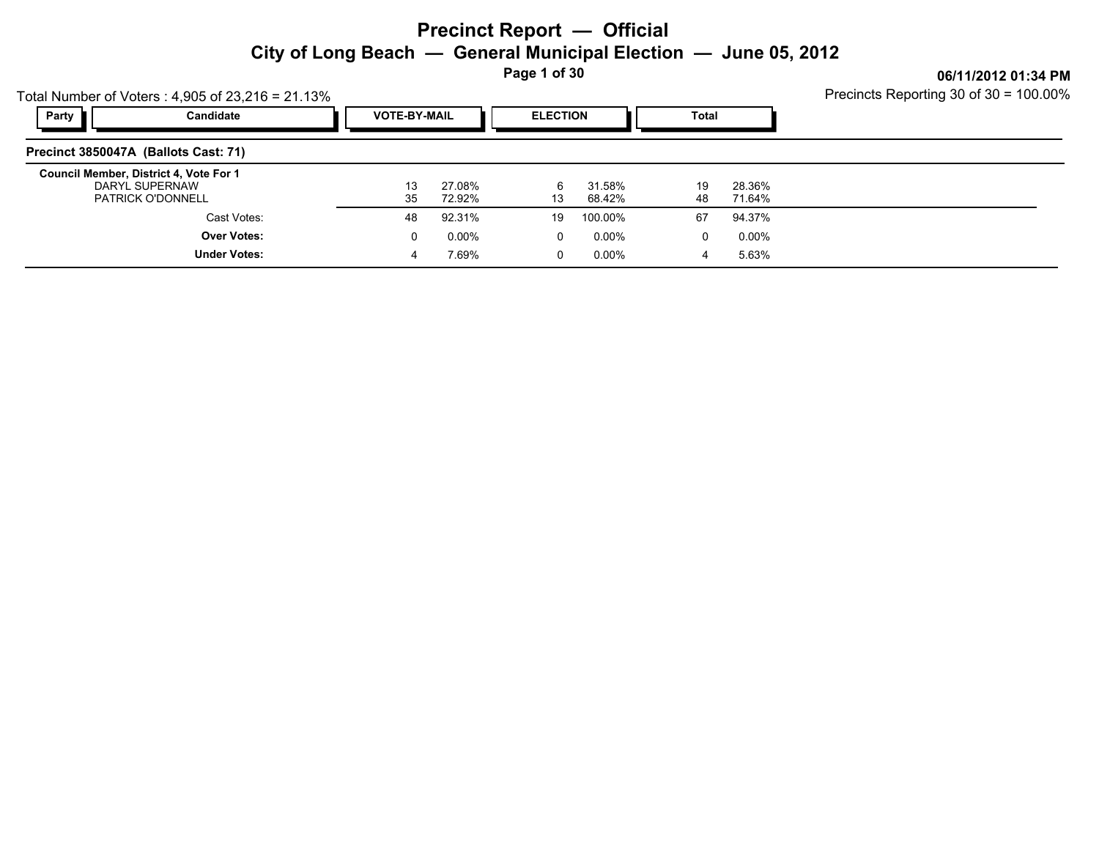**Page 1 of 30**

Precincts Reporting 30 of 30 = 100.00%

|       | Total Number of Voters: $4,905$ of $23,216 = 21.13\%$                                | Precincts Reporting 30 of 30 = 100.00% |                  |                 |                  |          |                  |  |
|-------|--------------------------------------------------------------------------------------|----------------------------------------|------------------|-----------------|------------------|----------|------------------|--|
| Party | Candidate                                                                            | <b>VOTE-BY-MAIL</b>                    |                  | <b>ELECTION</b> |                  | Total    |                  |  |
|       | Precinct 3850047A (Ballots Cast: 71)                                                 |                                        |                  |                 |                  |          |                  |  |
|       | Council Member, District 4, Vote For 1<br>DARYL SUPERNAW<br><b>PATRICK O'DONNELL</b> | 13<br>35                               | 27.08%<br>72.92% | 6<br>13         | 31.58%<br>68.42% | 19<br>48 | 28.36%<br>71.64% |  |
|       | Cast Votes:                                                                          | 48                                     | 92.31%           | 19              | 100.00%          | 67       | 94.37%           |  |
|       | <b>Over Votes:</b>                                                                   | 0                                      | 0.00%            | $\Omega$        | 0.00%            | 0        | 0.00%            |  |
|       | <b>Under Votes:</b>                                                                  | 4                                      | 7.69%            | 0               | 0.00%            | 4        | 5.63%            |  |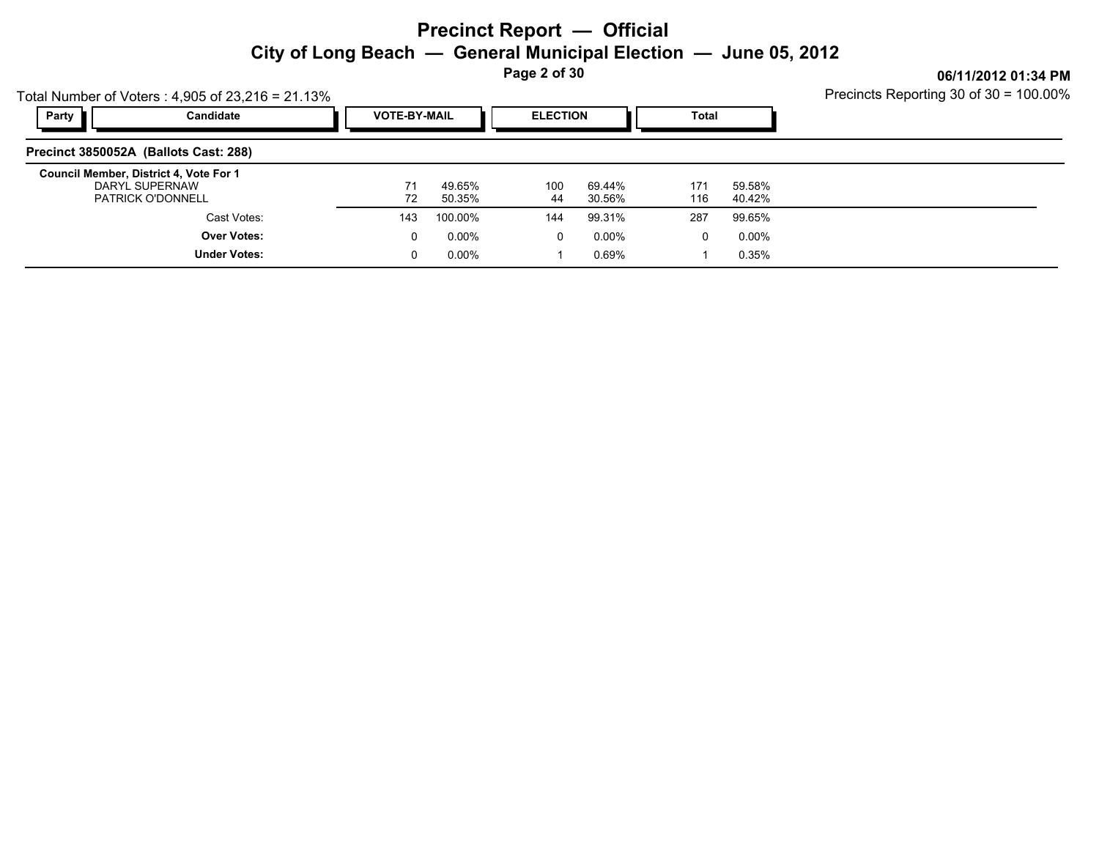**Page 2 of 30**

Precincts Reporting 30 of 30 = 100.00%

|              | Total Number of Voters: $4,905$ of 23,216 = 21.13%                                   | Precincts Reporting 30 of $30 = 100.00\%$ |                  |                 |                  |              |                  |  |
|--------------|--------------------------------------------------------------------------------------|-------------------------------------------|------------------|-----------------|------------------|--------------|------------------|--|
| <b>Party</b> | Candidate                                                                            | <b>VOTE-BY-MAIL</b>                       |                  | <b>ELECTION</b> |                  | <b>Total</b> |                  |  |
|              | Precinct 3850052A (Ballots Cast: 288)                                                |                                           |                  |                 |                  |              |                  |  |
|              | Council Member, District 4, Vote For 1<br>DARYL SUPERNAW<br><b>PATRICK O'DONNELL</b> | 72                                        | 49.65%<br>50.35% | 100<br>44       | 69.44%<br>30.56% | 171<br>116   | 59.58%<br>40.42% |  |
|              | Cast Votes:                                                                          | 143                                       | 100.00%          | 144             | 99.31%           | 287          | 99.65%           |  |
|              | <b>Over Votes:</b>                                                                   | 0                                         | $0.00\%$         | 0               | $0.00\%$         | $\Omega$     | $0.00\%$         |  |
|              | <b>Under Votes:</b>                                                                  | 0                                         | $0.00\%$         |                 | 0.69%            |              | 0.35%            |  |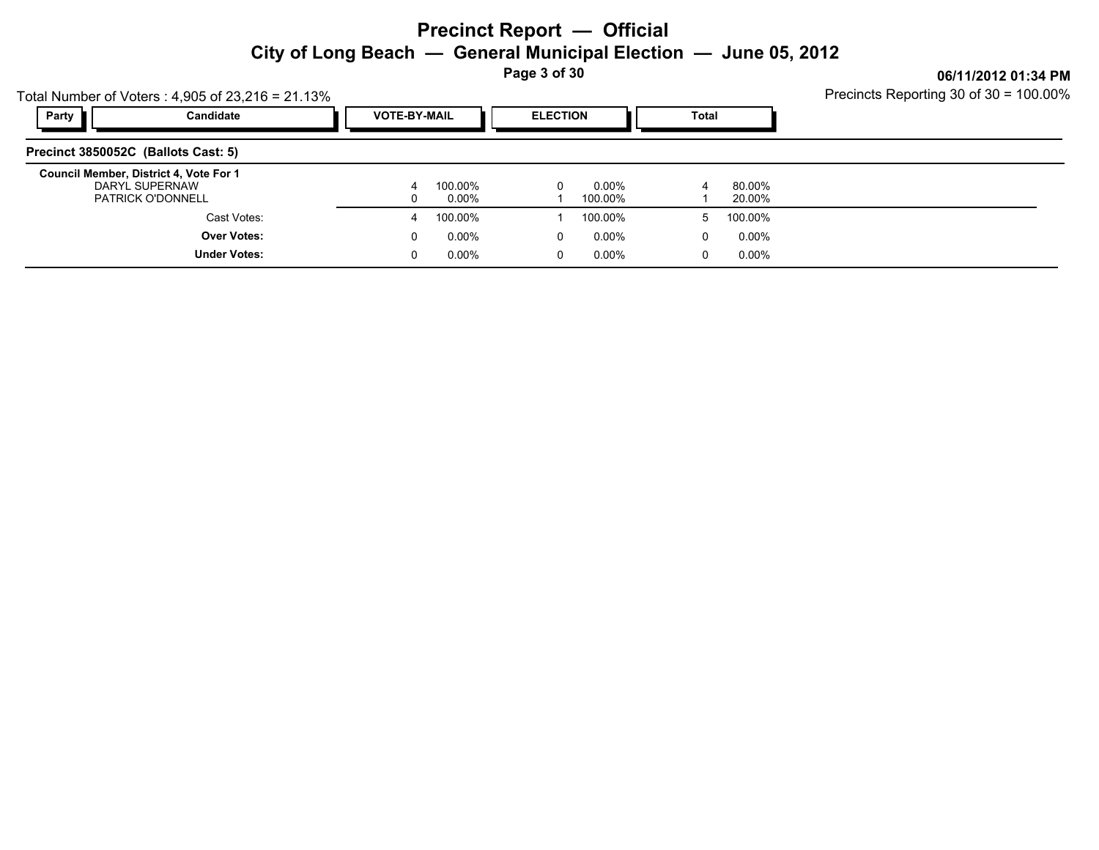**Page 3 of 30**

Precincts Reporting 30 of 30 = 100.00%

| Total Number of Voters: $4,905$ of $23,216 = 21.13\%$                                |                     |                     | Precincts Reporting 30 of 30 = 100.00% |                 |                  |       |                  |  |
|--------------------------------------------------------------------------------------|---------------------|---------------------|----------------------------------------|-----------------|------------------|-------|------------------|--|
| Party                                                                                | Candidate           | <b>VOTE-BY-MAIL</b> |                                        | <b>ELECTION</b> |                  | Total |                  |  |
| Precinct 3850052C (Ballots Cast: 5)                                                  |                     |                     |                                        |                 |                  |       |                  |  |
| Council Member, District 4, Vote For 1<br>DARYL SUPERNAW<br><b>PATRICK O'DONNELL</b> |                     | 4<br>0              | 100.00%<br>0.00%                       |                 | 0.00%<br>100.00% | 4     | 80.00%<br>20.00% |  |
|                                                                                      | Cast Votes:         | 4                   | 100.00%                                |                 | 100.00%          | 5     | 100.00%          |  |
|                                                                                      | <b>Over Votes:</b>  | 0                   | 0.00%                                  | 0               | 0.00%            | 0     | 0.00%            |  |
|                                                                                      | <b>Under Votes:</b> | 0                   | 0.00%                                  | $\mathbf 0$     | 0.00%            | 0     | 0.00%            |  |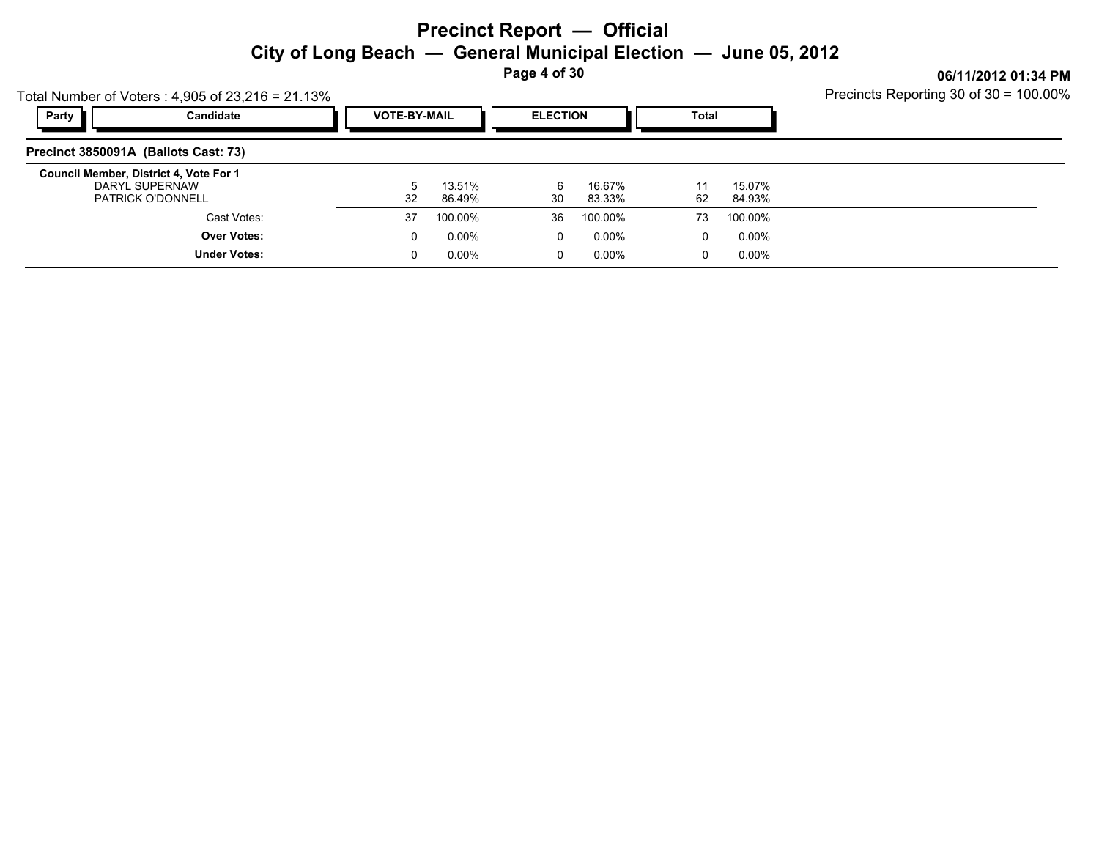**Page 4 of 30**

| Total Number of Voters: $4,905$ of 23,216 = 21.13%                                   | Precincts Reporting 30 of 30 = 100.00% |                  |                 |                  |              |                  |  |
|--------------------------------------------------------------------------------------|----------------------------------------|------------------|-----------------|------------------|--------------|------------------|--|
| Candidate<br>Party                                                                   | <b>VOTE-BY-MAIL</b>                    |                  | <b>ELECTION</b> |                  | <b>Total</b> |                  |  |
| Precinct 3850091A (Ballots Cast: 73)                                                 |                                        |                  |                 |                  |              |                  |  |
| Council Member, District 4, Vote For 1<br>DARYL SUPERNAW<br><b>PATRICK O'DONNELL</b> | 32                                     | 13.51%<br>86.49% | 6<br>30         | 16.67%<br>83.33% | 11<br>62     | 15.07%<br>84.93% |  |
| Cast Votes:                                                                          | 37                                     | 100.00%          | 36              | 100.00%          | 73           | 100.00%          |  |
| <b>Over Votes:</b>                                                                   | 0                                      | 0.00%            | 0               | 0.00%            | 0            | $0.00\%$         |  |
| <b>Under Votes:</b>                                                                  | 0                                      | $0.00\%$         | 0               | 0.00%            | 0            | $0.00\%$         |  |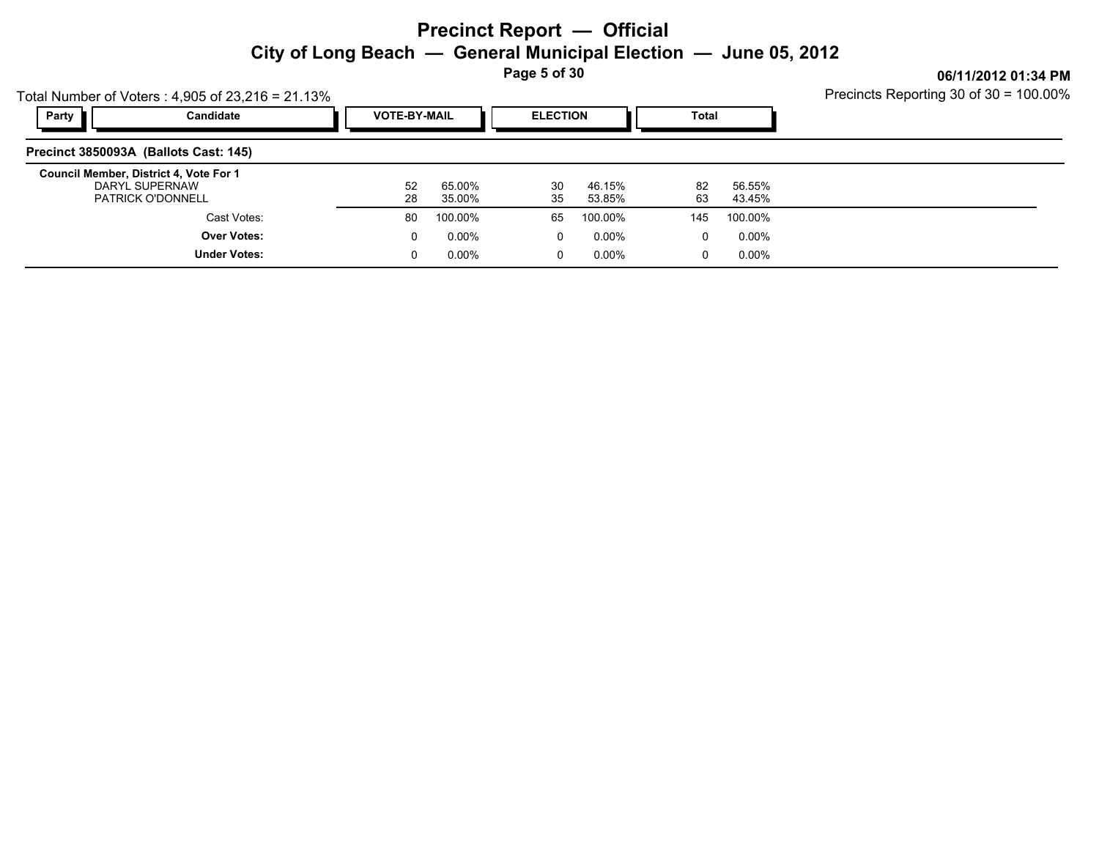**Page 5 of 30**

|       | Total Number of Voters: $4,905$ of $23,216 = 21.13\%$                                | Precincts Reporting 30 of 30 = 100.00% |                  |                 |                  |          |                  |  |
|-------|--------------------------------------------------------------------------------------|----------------------------------------|------------------|-----------------|------------------|----------|------------------|--|
| Party | Candidate                                                                            | <b>VOTE-BY-MAIL</b>                    |                  | <b>ELECTION</b> |                  | Total    |                  |  |
|       | Precinct 3850093A (Ballots Cast: 145)                                                |                                        |                  |                 |                  |          |                  |  |
|       | Council Member, District 4, Vote For 1<br>DARYL SUPERNAW<br><b>PATRICK O'DONNELL</b> | 52<br>28                               | 65.00%<br>35.00% | 30<br>35        | 46.15%<br>53.85% | 82<br>63 | 56.55%<br>43.45% |  |
|       | Cast Votes:                                                                          | 80                                     | 100.00%          | 65              | 100.00%          | 145      | 100.00%          |  |
|       | <b>Over Votes:</b>                                                                   | 0                                      | $0.00\%$         | $\mathbf{0}$    | $0.00\%$         | 0        | 0.00%            |  |
|       | <b>Under Votes:</b>                                                                  |                                        | $0.00\%$         | 0               | $0.00\%$         | 0        | 0.00%            |  |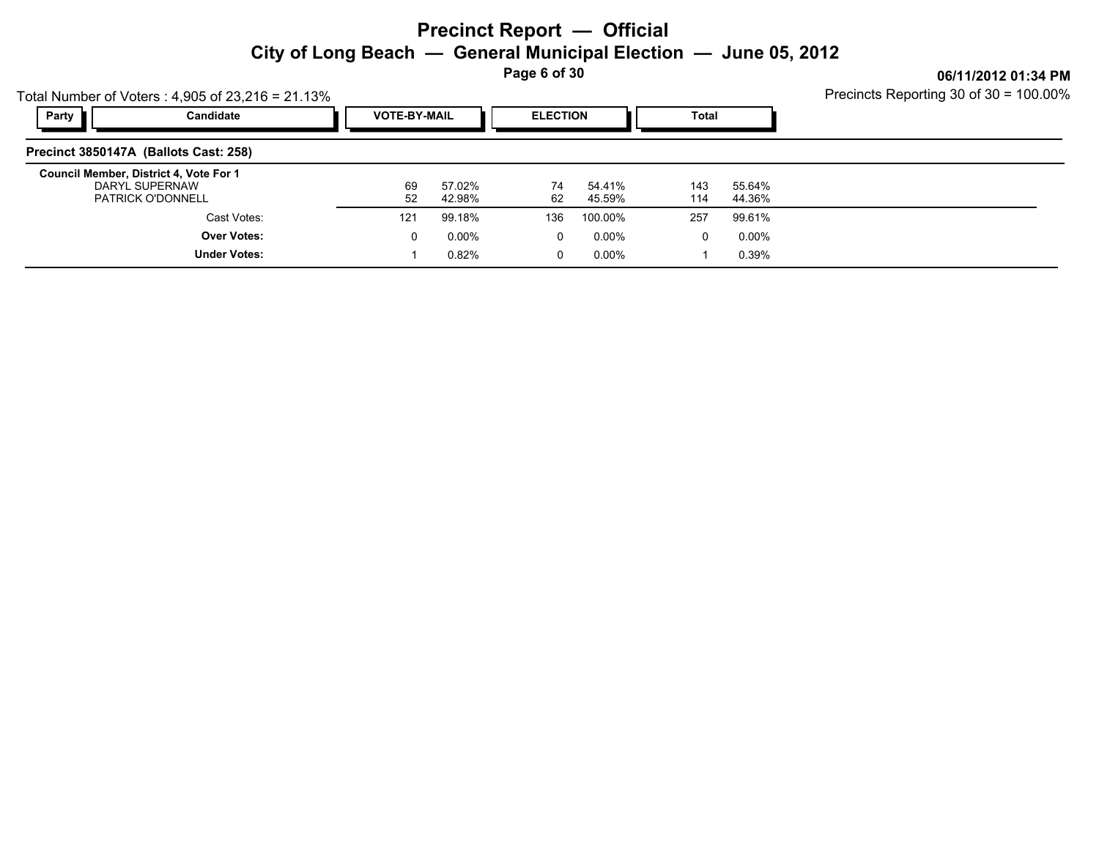**Page 6 of 30**

|       | Total Number of Voters: $4,905$ of 23,216 = 21.13%                                   | Precincts Reporting 30 of 30 = 100.00% |                  |                 |                  |              |                  |  |
|-------|--------------------------------------------------------------------------------------|----------------------------------------|------------------|-----------------|------------------|--------------|------------------|--|
| Party | Candidate                                                                            | <b>VOTE-BY-MAIL</b>                    |                  | <b>ELECTION</b> |                  | <b>Total</b> |                  |  |
|       | Precinct 3850147A (Ballots Cast: 258)                                                |                                        |                  |                 |                  |              |                  |  |
|       | Council Member, District 4, Vote For 1<br>DARYL SUPERNAW<br><b>PATRICK O'DONNELL</b> | 69<br>52                               | 57.02%<br>42.98% | 74<br>62        | 54.41%<br>45.59% | 143<br>114   | 55.64%<br>44.36% |  |
|       | Cast Votes:                                                                          | 121                                    | 99.18%           | 136             | 100.00%          | 257          | 99.61%           |  |
|       | <b>Over Votes:</b>                                                                   | 0                                      | 0.00%            | 0               | $0.00\%$         | 0            | $0.00\%$         |  |
|       | <b>Under Votes:</b>                                                                  |                                        | 0.82%            | 0               | 0.00%            |              | 0.39%            |  |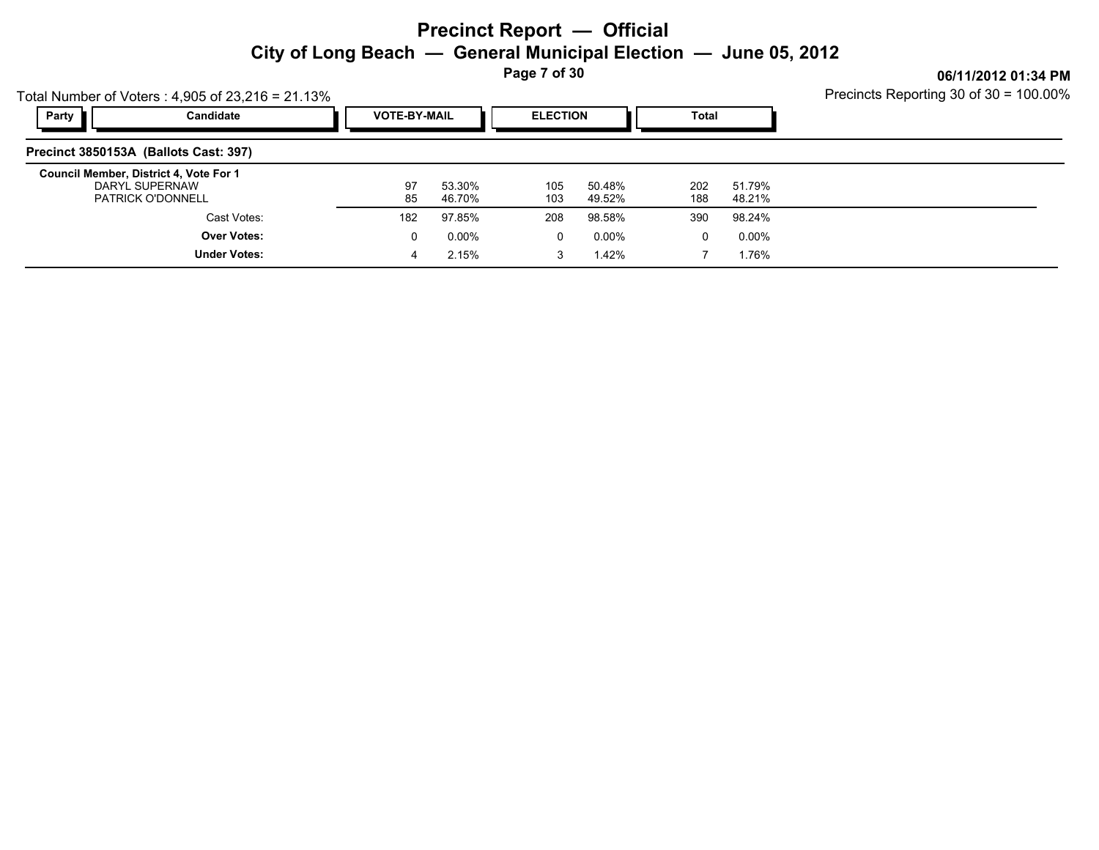**Page 7 of 30**

Precincts Reporting 30 of 30 = 100.00%

|       | Total Number of Voters: $4,905$ of $23,216 = 21.13\%$                                | Precincts Reporting 30 of 30 = 100.00% |                     |             |                  |            |                  |  |
|-------|--------------------------------------------------------------------------------------|----------------------------------------|---------------------|-------------|------------------|------------|------------------|--|
| Party | Candidate                                                                            |                                        | <b>VOTE-BY-MAIL</b> |             | <b>ELECTION</b>  |            |                  |  |
|       | Precinct 3850153A (Ballots Cast: 397)                                                |                                        |                     |             |                  |            |                  |  |
|       | Council Member, District 4, Vote For 1<br>DARYL SUPERNAW<br><b>PATRICK O'DONNELL</b> | 97<br>85                               | 53.30%<br>46.70%    | 105<br>103  | 50.48%<br>49.52% | 202<br>188 | 51.79%<br>48.21% |  |
|       | Cast Votes:                                                                          | 182                                    | 97.85%              | 208         | 98.58%           | 390        | 98.24%           |  |
|       | <b>Over Votes:</b>                                                                   | 0                                      | $0.00\%$            | $\mathbf 0$ | 0.00%            | 0          | 0.00%            |  |
|       | <b>Under Votes:</b>                                                                  | 4                                      | 2.15%               | 3           | 1.42%            |            | 1.76%            |  |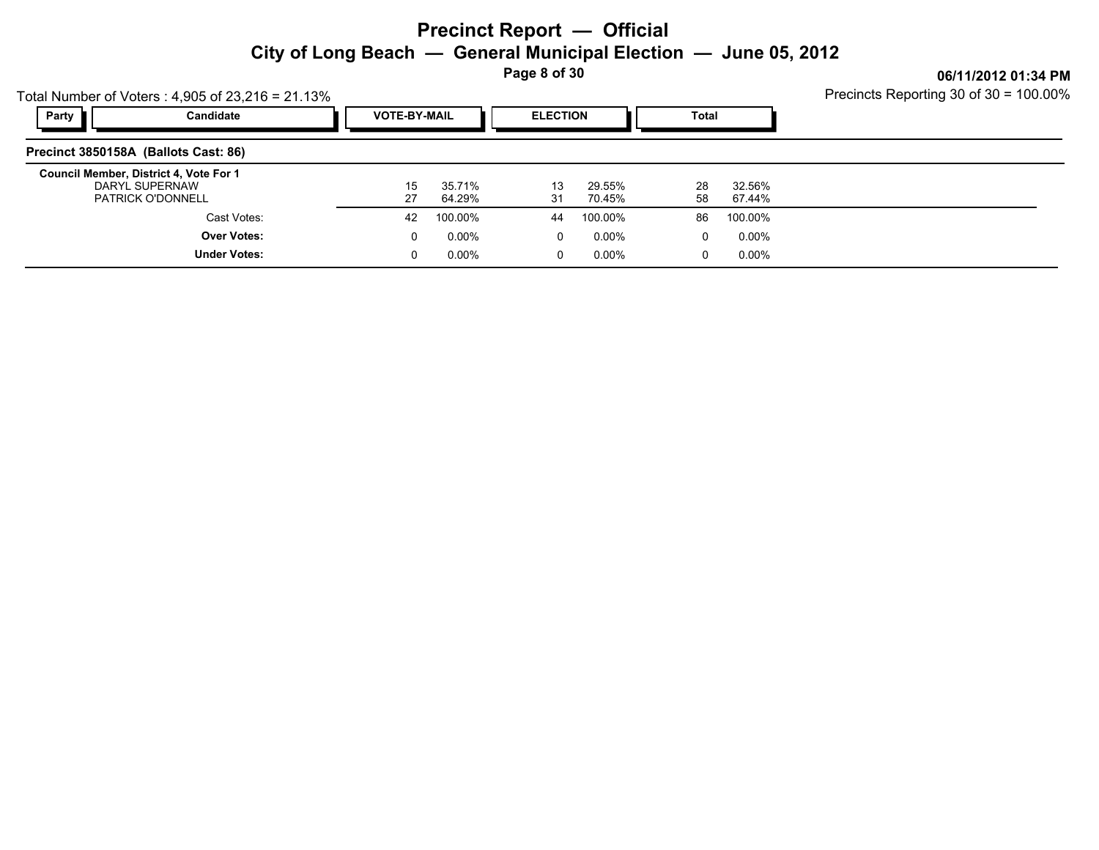**Page 8 of 30**

|       | Total Number of Voters: $4,905$ of $23,216 = 21.13\%$                                | Precincts Reporting 30 of 30 = 100.00% |                  |                 |                  |              |                  |  |
|-------|--------------------------------------------------------------------------------------|----------------------------------------|------------------|-----------------|------------------|--------------|------------------|--|
| Party | Candidate                                                                            | <b>VOTE-BY-MAIL</b>                    |                  | <b>ELECTION</b> |                  | <b>Total</b> |                  |  |
|       | Precinct 3850158A (Ballots Cast: 86)                                                 |                                        |                  |                 |                  |              |                  |  |
|       | Council Member, District 4, Vote For 1<br>DARYL SUPERNAW<br><b>PATRICK O'DONNELL</b> | 15<br>27                               | 35.71%<br>64.29% | 13<br>31        | 29.55%<br>70.45% | 28<br>58     | 32.56%<br>67.44% |  |
|       | Cast Votes:                                                                          | 42                                     | 100.00%          | 44              | 100.00%          | 86           | 100.00%          |  |
|       | <b>Over Votes:</b>                                                                   | 0                                      | $0.00\%$         | 0               | 0.00%            | 0            | 0.00%            |  |
|       | <b>Under Votes:</b>                                                                  | 0                                      | $0.00\%$         | 0               | 0.00%            | 0            | 0.00%            |  |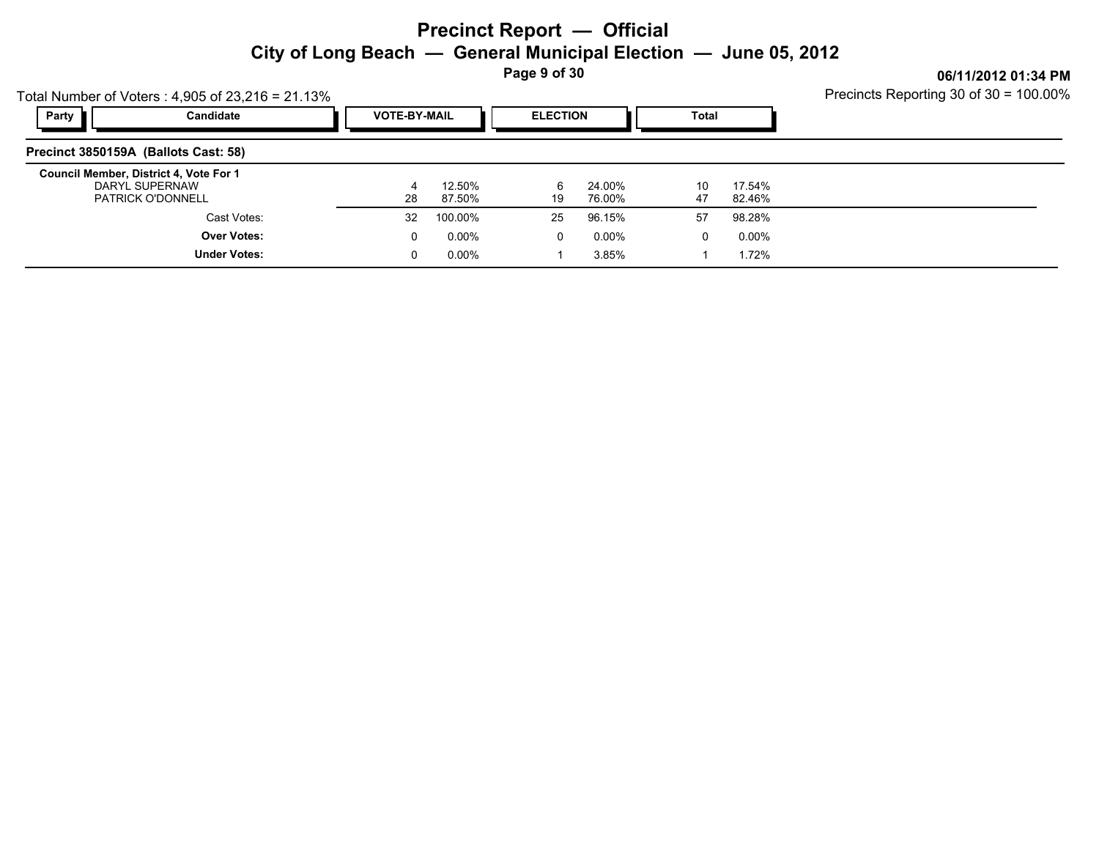**Page 9 of 30**

| Total Number of Voters: $4,905$ of 23,216 = 21.13%                                   | Precincts Reporting 30 of 30 = 100.00% |                  |                 |                  |          |                  |  |
|--------------------------------------------------------------------------------------|----------------------------------------|------------------|-----------------|------------------|----------|------------------|--|
| Party<br>Candidate                                                                   | <b>VOTE-BY-MAIL</b>                    |                  | <b>ELECTION</b> |                  | Total    |                  |  |
| Precinct 3850159A (Ballots Cast: 58)                                                 |                                        |                  |                 |                  |          |                  |  |
| Council Member, District 4, Vote For 1<br>DARYL SUPERNAW<br><b>PATRICK O'DONNELL</b> | 28                                     | 12.50%<br>87.50% | 6<br>19         | 24.00%<br>76.00% | 10<br>47 | 17.54%<br>82.46% |  |
| Cast Votes:                                                                          | 32                                     | 100.00%          | 25              | 96.15%           | 57       | 98.28%           |  |
| <b>Over Votes:</b>                                                                   | 0                                      | $0.00\%$         | 0               | 0.00%            |          | 0.00%            |  |
| <b>Under Votes:</b>                                                                  |                                        | $0.00\%$         |                 | 3.85%            |          | 1.72%            |  |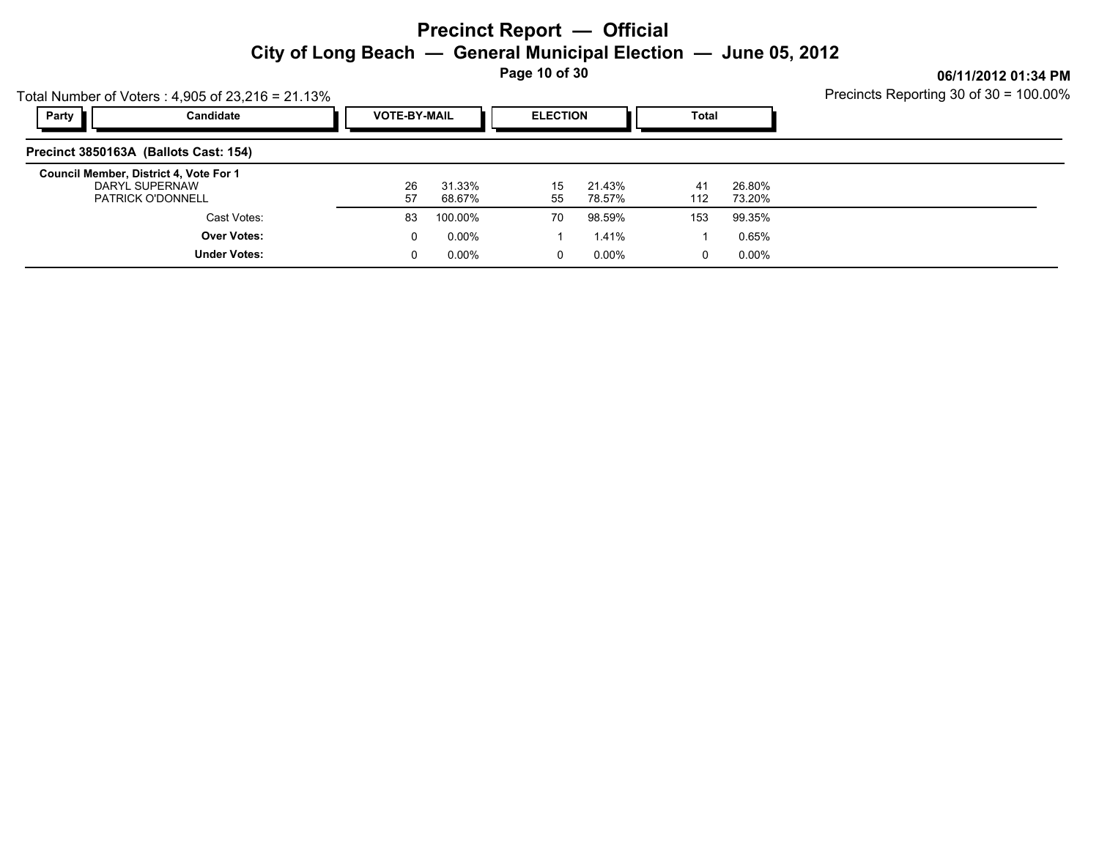**Page 10 of 30**

|       | Total Number of Voters: $4,905$ of 23,216 = 21.13%                                   | Precincts Reporting 30 of 30 = 100.00% |                     |          |                  |           |                  |  |
|-------|--------------------------------------------------------------------------------------|----------------------------------------|---------------------|----------|------------------|-----------|------------------|--|
| Party | Candidate                                                                            |                                        | <b>VOTE-BY-MAIL</b> |          | <b>ELECTION</b>  |           |                  |  |
|       | Precinct 3850163A (Ballots Cast: 154)                                                |                                        |                     |          |                  |           |                  |  |
|       | Council Member, District 4, Vote For 1<br>DARYL SUPERNAW<br><b>PATRICK O'DONNELL</b> | 26<br>57                               | 31.33%<br>68.67%    | 15<br>55 | 21.43%<br>78.57% | 41<br>112 | 26.80%<br>73.20% |  |
|       | Cast Votes:                                                                          | 83                                     | 100.00%             | 70       | 98.59%           | 153       | 99.35%           |  |
|       | <b>Over Votes:</b>                                                                   | 0                                      | 0.00%               |          | 1.41%            |           | 0.65%            |  |
|       | <b>Under Votes:</b>                                                                  |                                        | 0.00%               | 0        | 0.00%            | 0         | 0.00%            |  |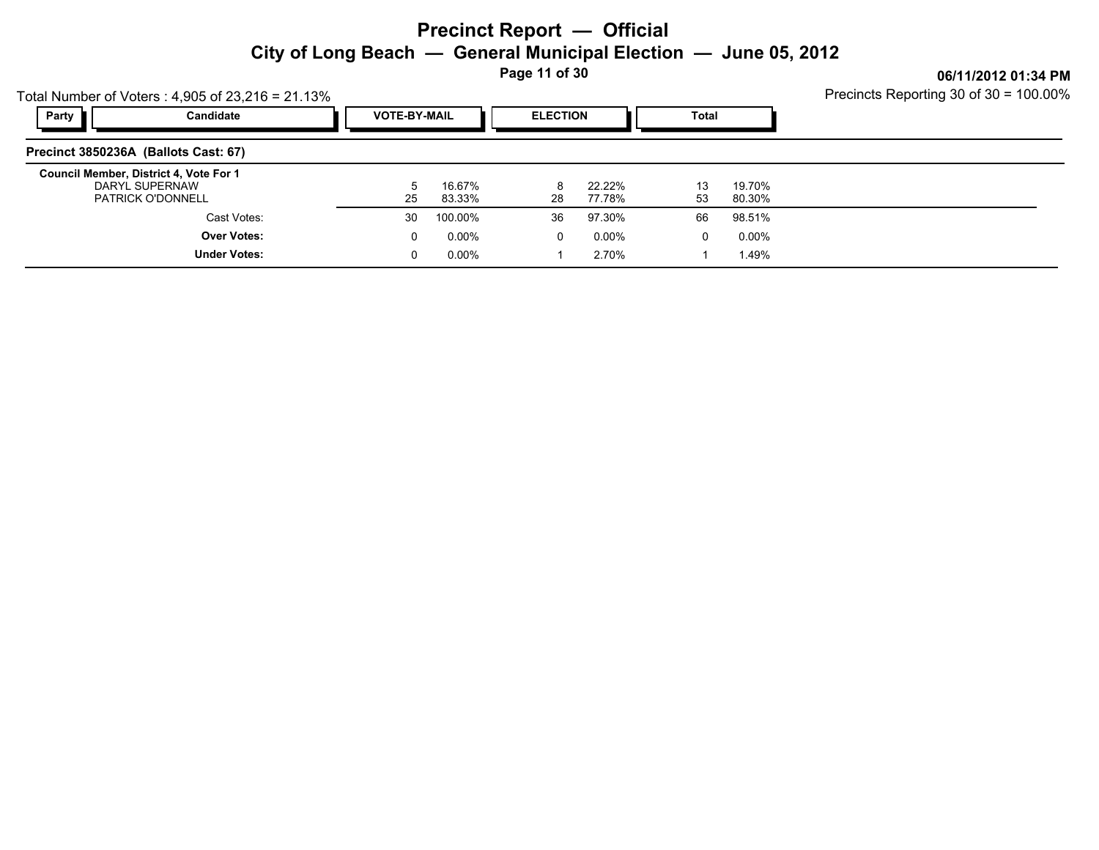**Page 11 of 30**

Precincts Reporting 30 of 30 = 100.00%

|       | Total Number of Voters: $4,905$ of $23,216 = 21.13\%$                                | Precincts Reporting 30 of 30 = 100.00% |                  |                 |                  |          |                  |  |
|-------|--------------------------------------------------------------------------------------|----------------------------------------|------------------|-----------------|------------------|----------|------------------|--|
| Party | Candidate                                                                            | <b>VOTE-BY-MAIL</b>                    |                  | <b>ELECTION</b> |                  | Total    |                  |  |
|       | Precinct 3850236A (Ballots Cast: 67)                                                 |                                        |                  |                 |                  |          |                  |  |
|       | Council Member, District 4, Vote For 1<br>DARYL SUPERNAW<br><b>PATRICK O'DONNELL</b> | 5<br>25                                | 16.67%<br>83.33% | 8<br>28         | 22.22%<br>77.78% | 13<br>53 | 19.70%<br>80.30% |  |
|       | Cast Votes:                                                                          | 30                                     | 100.00%          | 36              | 97.30%           | 66       | 98.51%           |  |
|       | <b>Over Votes:</b>                                                                   | 0                                      | 0.00%            | $\Omega$        | 0.00%            | 0        | 0.00%            |  |
|       | <b>Under Votes:</b>                                                                  | 0                                      | 0.00%            |                 | 2.70%            |          | 1.49%            |  |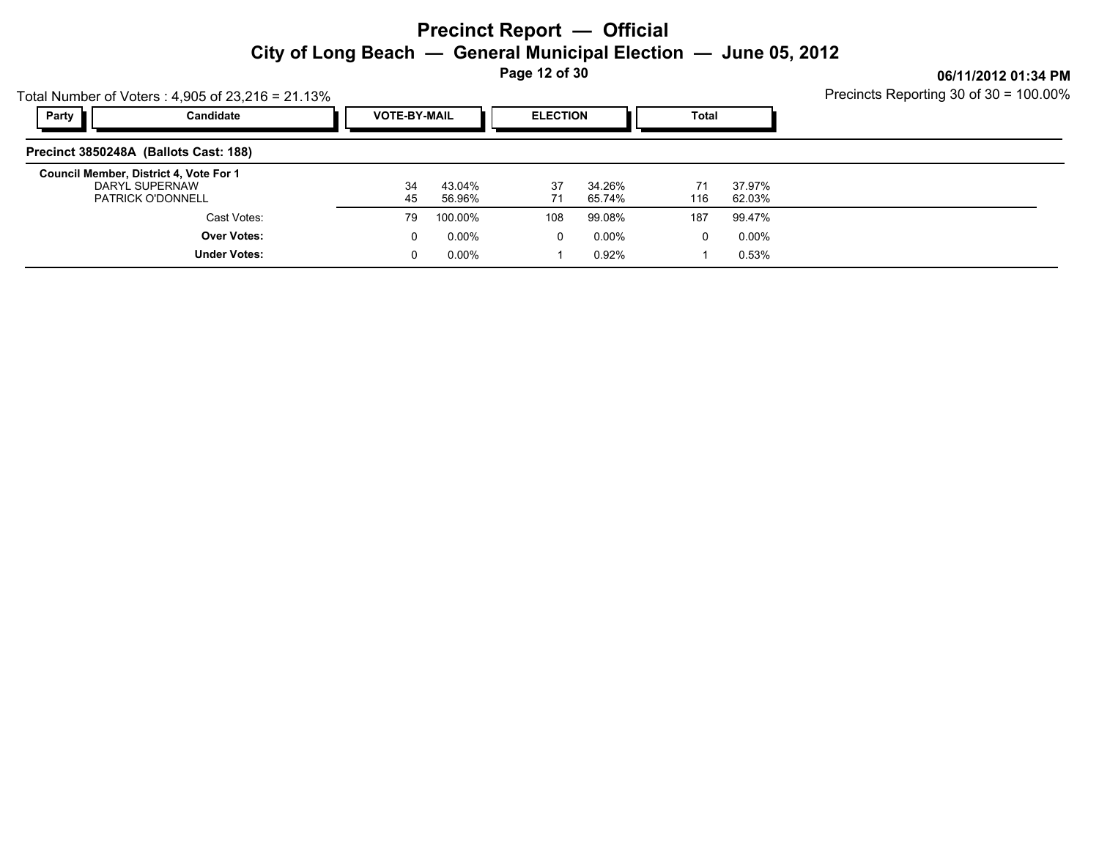**Page 12 of 30**

Precincts Reporting 30 of 30 = 100.00%

|                                        | Total Number of Voters: $4,905$ of $23,216 = 21.13\%$ | Precincts Reporting 30 of 30 = 100.00% |                     |          |                  |           |                  |  |
|----------------------------------------|-------------------------------------------------------|----------------------------------------|---------------------|----------|------------------|-----------|------------------|--|
| Party                                  | Candidate                                             |                                        | <b>VOTE-BY-MAIL</b> |          | <b>ELECTION</b>  |           |                  |  |
| Precinct 3850248A (Ballots Cast: 188)  |                                                       |                                        |                     |          |                  |           |                  |  |
| Council Member, District 4, Vote For 1 | DARYL SUPERNAW<br><b>PATRICK O'DONNELL</b>            | 34<br>45                               | 43.04%<br>56.96%    | 37<br>71 | 34.26%<br>65.74% | 71<br>116 | 37.97%<br>62.03% |  |
|                                        | Cast Votes:                                           | 79                                     | 100.00%             | 108      | 99.08%           | 187       | 99.47%           |  |
|                                        | <b>Over Votes:</b>                                    | 0                                      | $0.00\%$            | 0        | 0.00%            | $\Omega$  | $0.00\%$         |  |
|                                        | <b>Under Votes:</b>                                   | 0                                      | $0.00\%$            |          | 0.92%            |           | 0.53%            |  |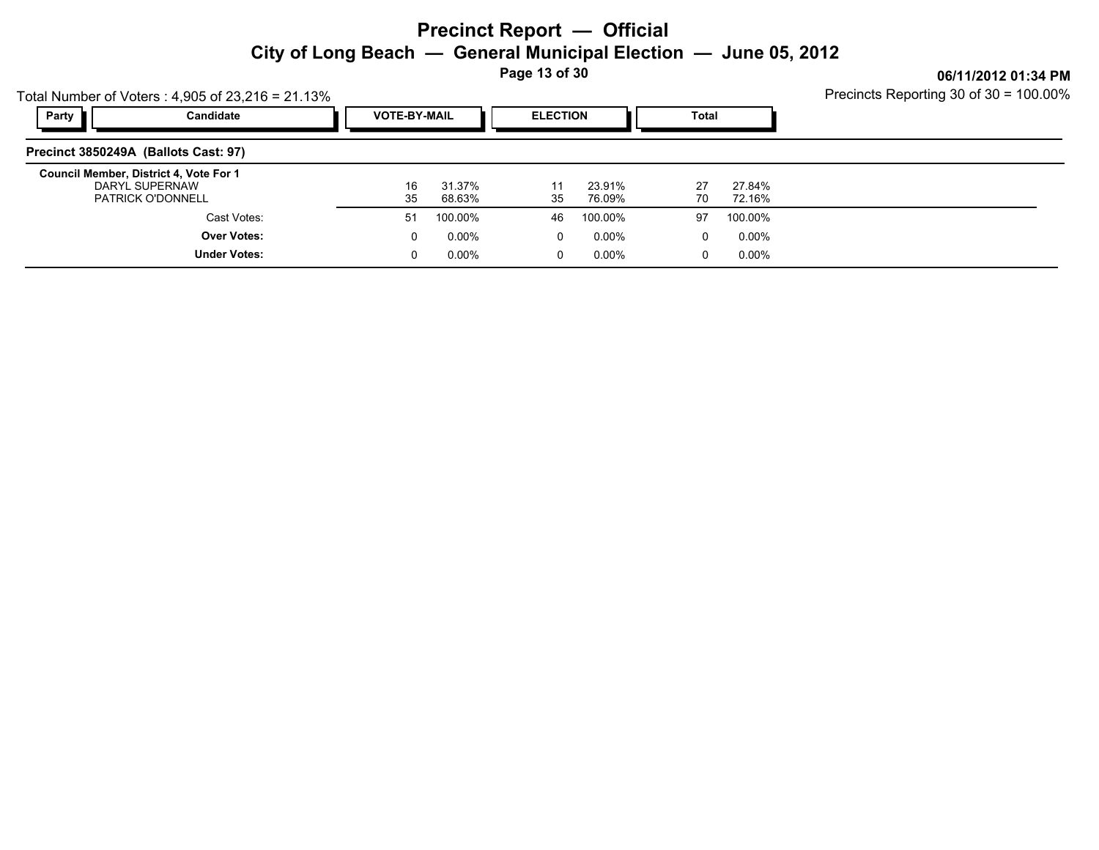**Page 13 of 30**

Precincts Reporting 30 of 30 = 100.00%

| Total Number of Voters: $4,905$ of 23,216 = 21.13%                                   |                     | Precincts Reporting 30 of 30 = 100.00% |                  |                 |                  |              |                  |  |
|--------------------------------------------------------------------------------------|---------------------|----------------------------------------|------------------|-----------------|------------------|--------------|------------------|--|
| Party                                                                                | Candidate           | <b>VOTE-BY-MAIL</b>                    |                  | <b>ELECTION</b> |                  | <b>Total</b> |                  |  |
| Precinct 3850249A (Ballots Cast: 97)                                                 |                     |                                        |                  |                 |                  |              |                  |  |
| Council Member, District 4, Vote For 1<br>DARYL SUPERNAW<br><b>PATRICK O'DONNELL</b> |                     | 16<br>35                               | 31.37%<br>68.63% | 11<br>35        | 23.91%<br>76.09% | 27<br>70     | 27.84%<br>72.16% |  |
|                                                                                      | Cast Votes:         | 51                                     | 100.00%          | 46              | 100.00%          | 97           | 100.00%          |  |
|                                                                                      | <b>Over Votes:</b>  | 0                                      | 0.00%            | $\Omega$        | 0.00%            | 0            | 0.00%            |  |
|                                                                                      | <b>Under Votes:</b> | 0                                      | $0.00\%$         | 0               | 0.00%            | $\mathbf 0$  | $0.00\%$         |  |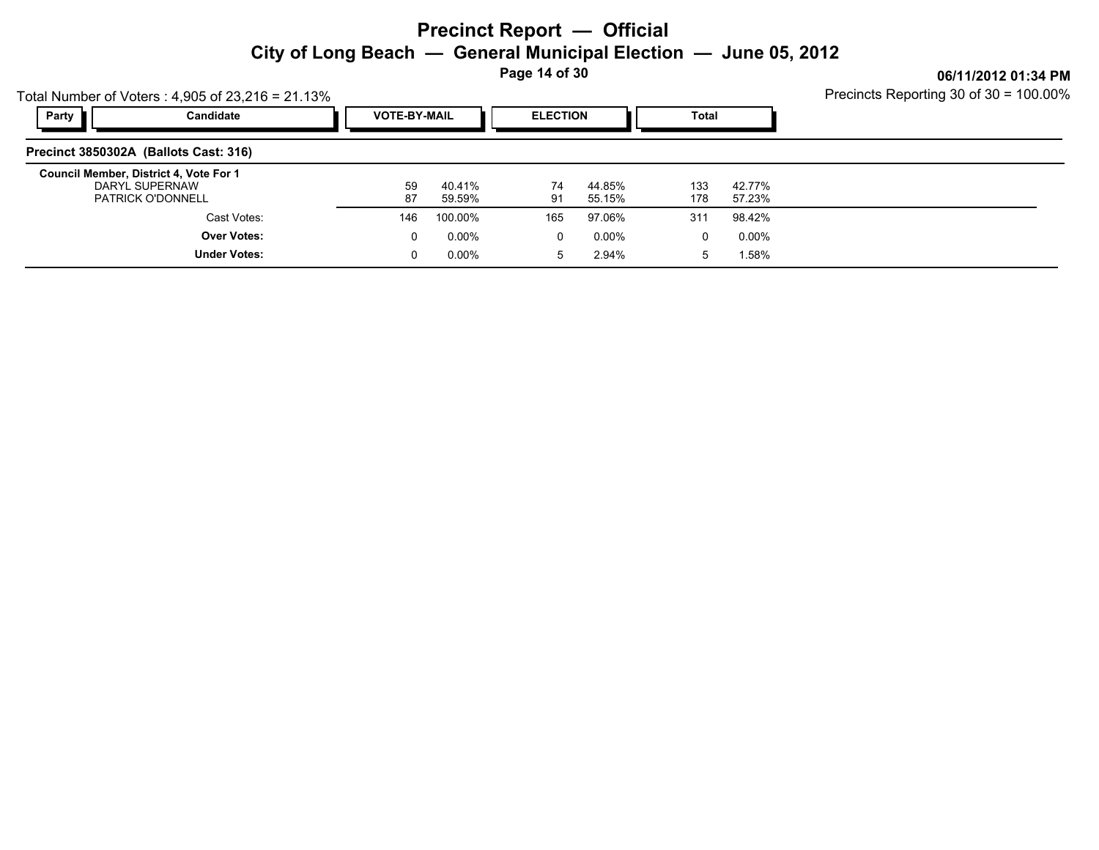**Page 14 of 30**

Precincts Reporting 30 of 30 = 100.00%

|                                        | Total Number of Voters: $4,905$ of $23,216 = 21.13\%$ | Precincts Reporting 30 of 30 = 100.00% |                     |          |                  |            |                  |  |
|----------------------------------------|-------------------------------------------------------|----------------------------------------|---------------------|----------|------------------|------------|------------------|--|
| Party                                  | Candidate                                             |                                        | <b>VOTE-BY-MAIL</b> |          | <b>ELECTION</b>  |            |                  |  |
| Precinct 3850302A (Ballots Cast: 316)  |                                                       |                                        |                     |          |                  |            |                  |  |
| Council Member, District 4, Vote For 1 | DARYL SUPERNAW<br><b>PATRICK O'DONNELL</b>            | 59<br>87                               | 40.41%<br>59.59%    | 74<br>91 | 44.85%<br>55.15% | 133<br>178 | 42.77%<br>57.23% |  |
|                                        | Cast Votes:                                           | 146                                    | 100.00%             | 165      | 97.06%           | 311        | 98.42%           |  |
|                                        | <b>Over Votes:</b>                                    | 0                                      | $0.00\%$            | 0        | 0.00%            | 0          | $0.00\%$         |  |
|                                        | <b>Under Votes:</b>                                   | 0                                      | $0.00\%$            | 5        | 2.94%            | 5          | 1.58%            |  |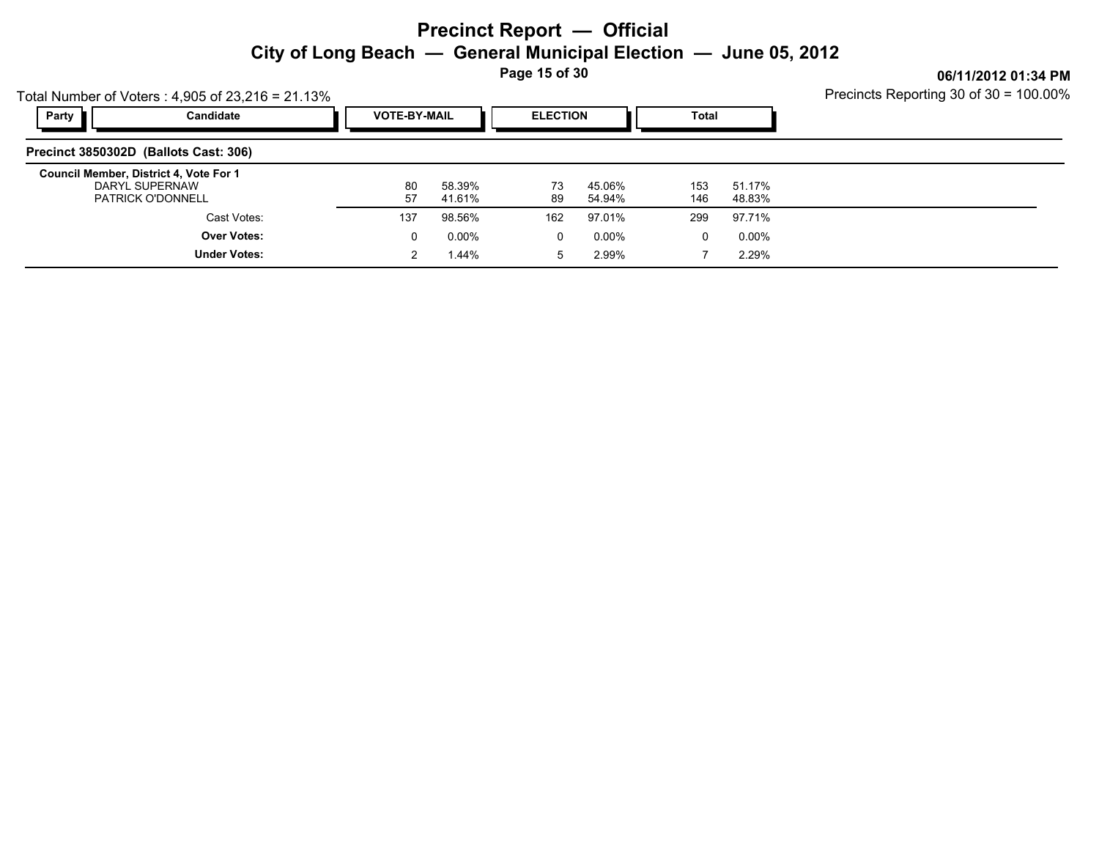**Page 15 of 30**

|       | Total Number of Voters: $4,905$ of 23,216 = 21.13%                                   | Precincts Reporting 30 of 30 = 100.00% |                     |          |                  |            |                  |  |
|-------|--------------------------------------------------------------------------------------|----------------------------------------|---------------------|----------|------------------|------------|------------------|--|
| Party | Candidate                                                                            |                                        | <b>VOTE-BY-MAIL</b> |          | <b>ELECTION</b>  | Total      |                  |  |
|       | Precinct 3850302D (Ballots Cast: 306)                                                |                                        |                     |          |                  |            |                  |  |
|       | Council Member, District 4, Vote For 1<br>DARYL SUPERNAW<br><b>PATRICK O'DONNELL</b> | 80<br>57                               | 58.39%<br>41.61%    | 73<br>89 | 45.06%<br>54.94% | 153<br>146 | 51.17%<br>48.83% |  |
|       | Cast Votes:                                                                          | 137                                    | 98.56%              | 162      | 97.01%           | 299        | 97.71%           |  |
|       | <b>Over Votes:</b>                                                                   | 0                                      | $0.00\%$            | 0        | 0.00%            | 0          | 0.00%            |  |
|       | <b>Under Votes:</b>                                                                  |                                        | 1.44%               | 5        | 2.99%            |            | 2.29%            |  |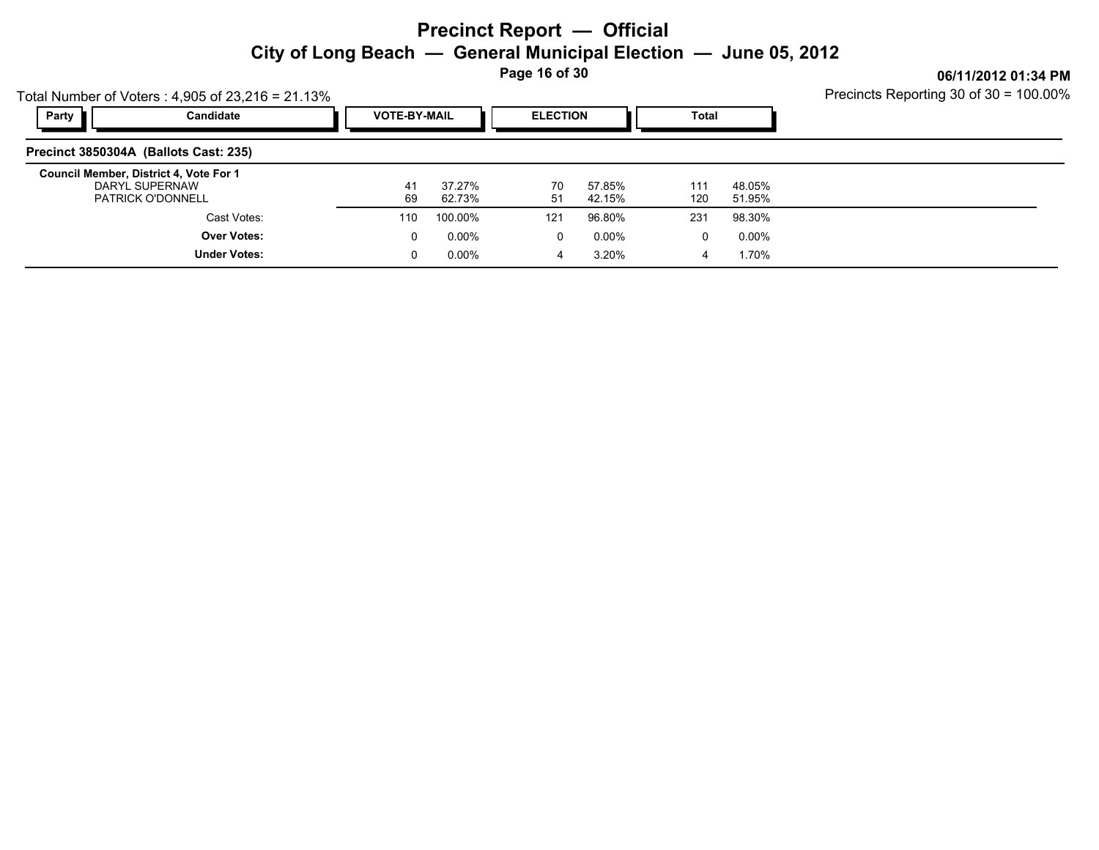**Page 16 of 30**

| Total Number of Voters: $4,905$ of 23,216 = 21.13%                                   |                     | Precincts Reporting 30 of 30 = 100.00% |                     |          |                  |            |                  |  |
|--------------------------------------------------------------------------------------|---------------------|----------------------------------------|---------------------|----------|------------------|------------|------------------|--|
| Party                                                                                | Candidate           |                                        | <b>VOTE-BY-MAIL</b> |          | <b>ELECTION</b>  |            | Total            |  |
| Precinct 3850304A (Ballots Cast: 235)                                                |                     |                                        |                     |          |                  |            |                  |  |
| Council Member, District 4, Vote For 1<br>DARYL SUPERNAW<br><b>PATRICK O'DONNELL</b> |                     | 41<br>69                               | 37.27%<br>62.73%    | 70<br>51 | 57.85%<br>42.15% | 111<br>120 | 48.05%<br>51.95% |  |
|                                                                                      | Cast Votes:         | 110                                    | 100.00%             | 121      | 96.80%           | 231        | 98.30%           |  |
|                                                                                      | <b>Over Votes:</b>  | 0                                      | $0.00\%$            | 0        | 0.00%            | 0          | 0.00%            |  |
|                                                                                      | <b>Under Votes:</b> | 0                                      | $0.00\%$            | 4        | 3.20%            | 4          | 1.70%            |  |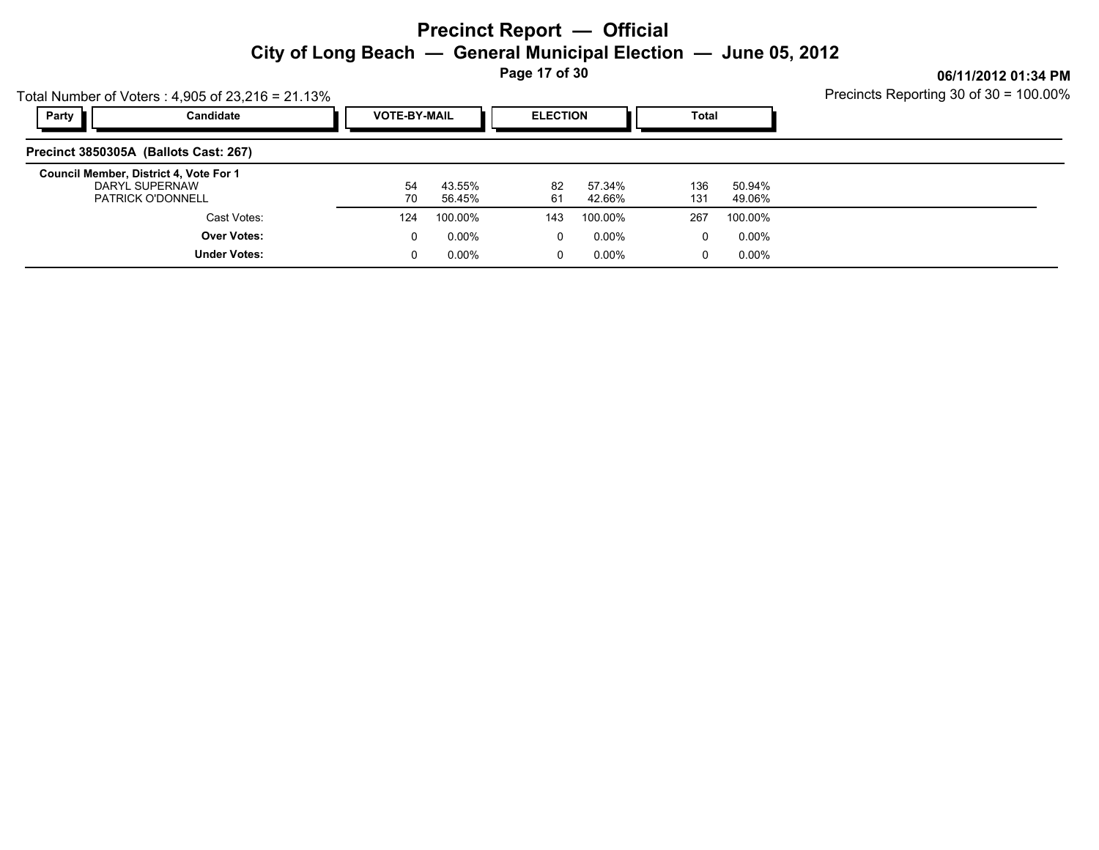**Page 17 of 30**

Precincts Reporting 30 of 30 = 100.00%

|       | Total Number of Voters: $4,905$ of $23,216 = 21.13\%$                                | Precincts Reporting 30 of 30 = 100.00% |                  |                 |                  |            |                  |  |
|-------|--------------------------------------------------------------------------------------|----------------------------------------|------------------|-----------------|------------------|------------|------------------|--|
| Party | Candidate                                                                            | <b>VOTE-BY-MAIL</b>                    |                  | <b>ELECTION</b> |                  | Total      |                  |  |
|       | Precinct 3850305A (Ballots Cast: 267)                                                |                                        |                  |                 |                  |            |                  |  |
|       | Council Member, District 4, Vote For 1<br>DARYL SUPERNAW<br><b>PATRICK O'DONNELL</b> | 54<br>70                               | 43.55%<br>56.45% | 82<br>61        | 57.34%<br>42.66% | 136<br>131 | 50.94%<br>49.06% |  |
|       | Cast Votes:                                                                          | 124                                    | 100.00%          | 143             | 100.00%          | 267        | 100.00%          |  |
|       | <b>Over Votes:</b>                                                                   | 0                                      | $0.00\%$         | $\Omega$        | 0.00%            | 0          | 0.00%            |  |
|       | <b>Under Votes:</b>                                                                  | 0                                      | $0.00\%$         | 0               | 0.00%            | 0          | $0.00\%$         |  |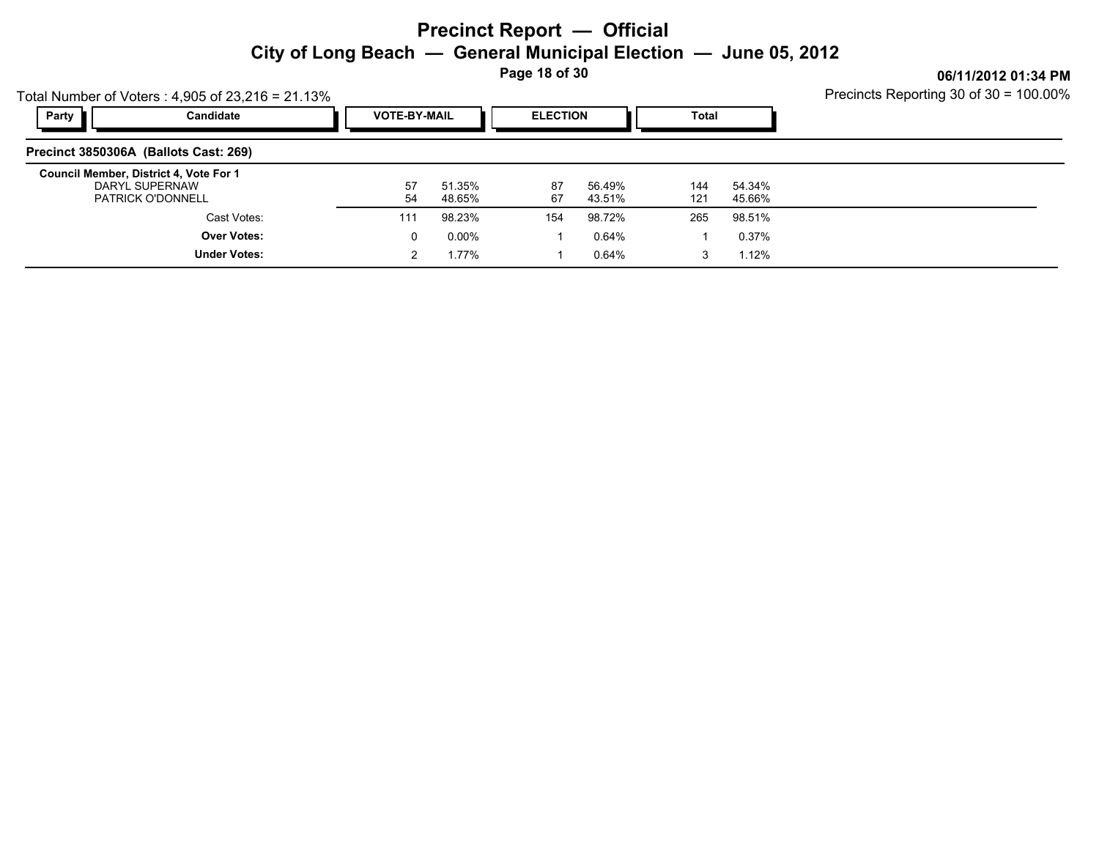**Page 18 of 30**

|       | Total Number of Voters: $4,905$ of $23,216 = 21.13\%$                                | Precincts Reporting 30 of 30 = 100.00% |                  |          |                  |            |                  |  |
|-------|--------------------------------------------------------------------------------------|----------------------------------------|------------------|----------|------------------|------------|------------------|--|
| Party | Candidate                                                                            | <b>VOTE-BY-MAIL</b>                    |                  |          | <b>ELECTION</b>  |            |                  |  |
|       | Precinct 3850306A (Ballots Cast: 269)                                                |                                        |                  |          |                  |            |                  |  |
|       | Council Member, District 4, Vote For 1<br>DARYL SUPERNAW<br><b>PATRICK O'DONNELL</b> | 57<br>54                               | 51.35%<br>48.65% | 87<br>67 | 56.49%<br>43.51% | 144<br>121 | 54.34%<br>45.66% |  |
|       | Cast Votes:                                                                          | 111                                    | 98.23%           | 154      | 98.72%           | 265        | 98.51%           |  |
|       | <b>Over Votes:</b>                                                                   | 0                                      | 0.00%            |          | 0.64%            |            | 0.37%            |  |
|       | <b>Under Votes:</b>                                                                  |                                        | 1.77%            |          | 0.64%            | 3          | 1.12%            |  |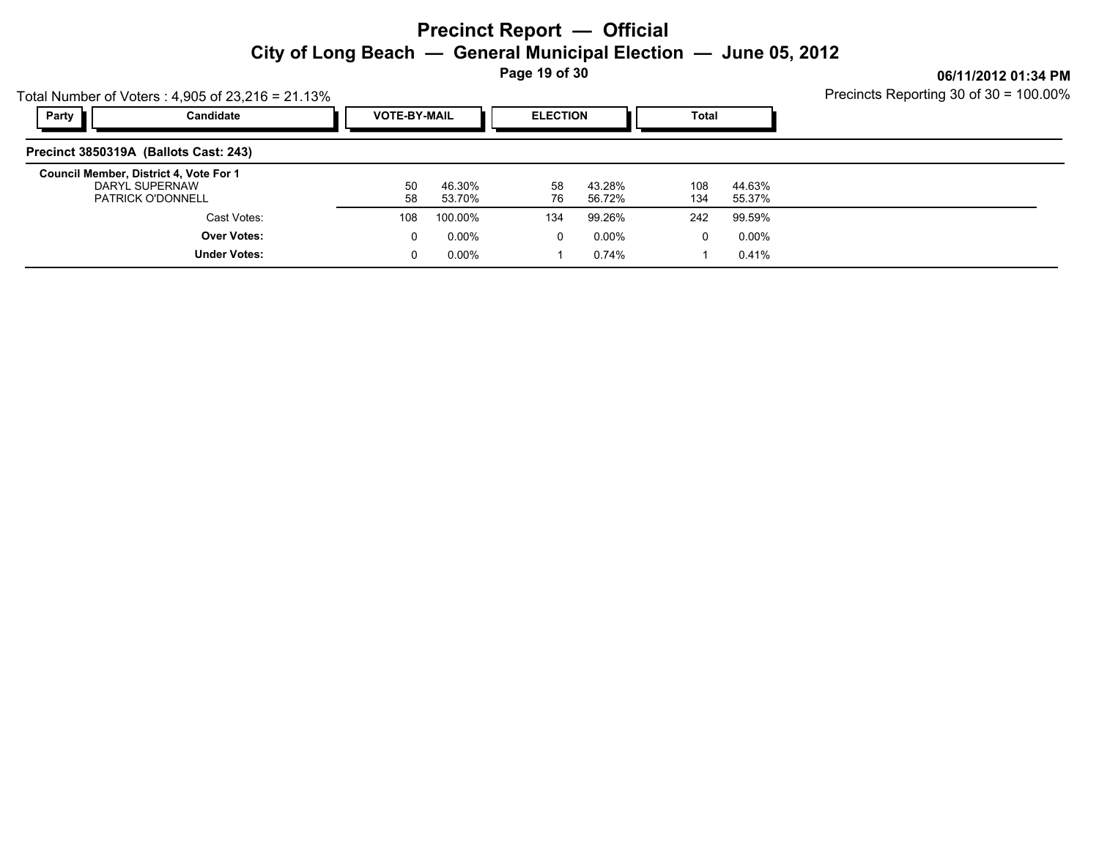**Page 19 of 30**

|                                                          | Total Number of Voters: $4,905$ of $23,216 = 21.13\%$ | Precincts Reporting 30 of 30 = 100.00% |                     |          |                  |            |                  |  |
|----------------------------------------------------------|-------------------------------------------------------|----------------------------------------|---------------------|----------|------------------|------------|------------------|--|
| Party                                                    | Candidate                                             |                                        | <b>VOTE-BY-MAIL</b> |          | <b>ELECTION</b>  |            | Total            |  |
| Precinct 3850319A (Ballots Cast: 243)                    |                                                       |                                        |                     |          |                  |            |                  |  |
| Council Member, District 4, Vote For 1<br>DARYL SUPERNAW | <b>PATRICK O'DONNELL</b>                              | 50<br>58                               | 46.30%<br>53.70%    | 58<br>76 | 43.28%<br>56.72% | 108<br>134 | 44.63%<br>55.37% |  |
|                                                          | Cast Votes:                                           | 108                                    | 100.00%             | 134      | 99.26%           | 242        | 99.59%           |  |
|                                                          | <b>Over Votes:</b>                                    | 0                                      | $0.00\%$            | 0        | $0.00\%$         | 0          | $0.00\%$         |  |
|                                                          | <b>Under Votes:</b>                                   | 0                                      | $0.00\%$            |          | 0.74%            |            | 0.41%            |  |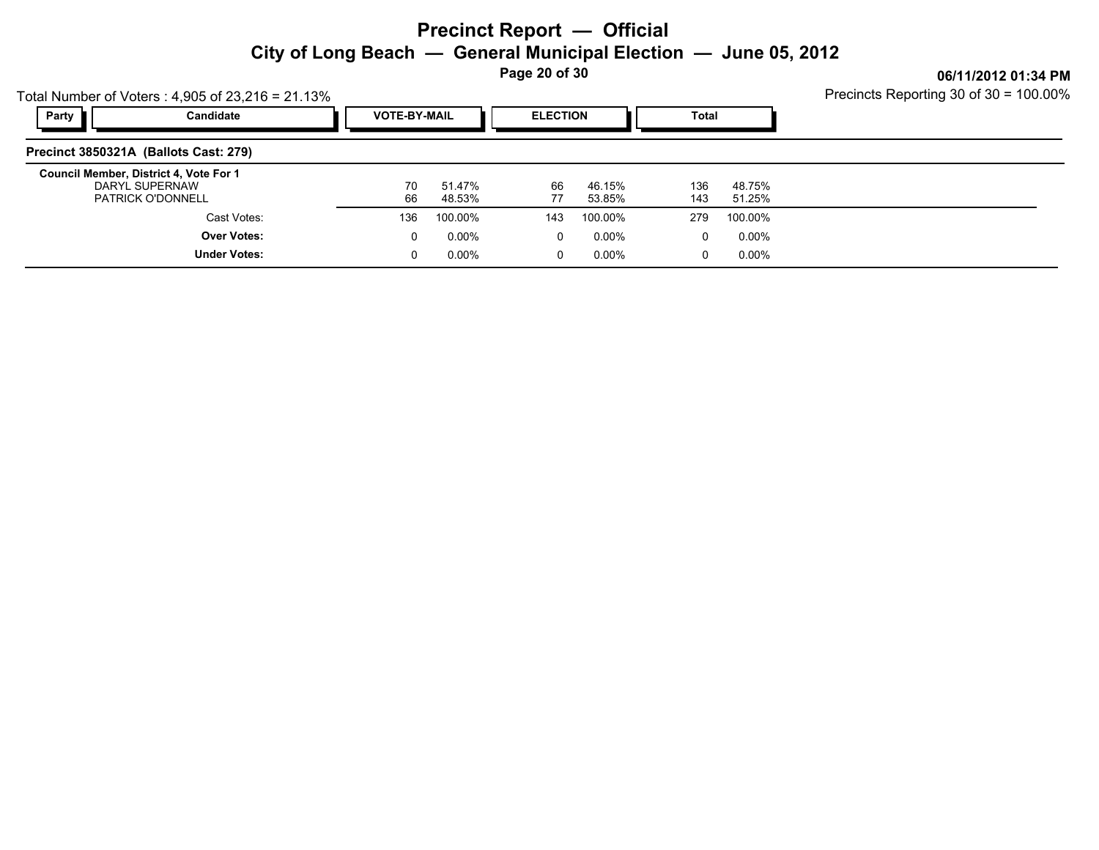**Page 20 of 30**

|                                        | Total Number of Voters: $4,905$ of 23,216 = 21.13% | Precincts Reporting 30 of 30 = 100.00% |                     |          |                  |              |                  |  |
|----------------------------------------|----------------------------------------------------|----------------------------------------|---------------------|----------|------------------|--------------|------------------|--|
| Party                                  | Candidate                                          |                                        | <b>VOTE-BY-MAIL</b> |          | <b>ELECTION</b>  | <b>Total</b> |                  |  |
| Precinct 3850321A (Ballots Cast: 279)  |                                                    |                                        |                     |          |                  |              |                  |  |
| Council Member, District 4, Vote For 1 | DARYL SUPERNAW<br><b>PATRICK O'DONNELL</b>         | 70<br>66                               | 51.47%<br>48.53%    | 66<br>77 | 46.15%<br>53.85% | 136<br>143   | 48.75%<br>51.25% |  |
|                                        | Cast Votes:                                        | 136                                    | 100.00%             | 143      | 100.00%          | 279          | 100.00%          |  |
|                                        | <b>Over Votes:</b>                                 | 0                                      | $0.00\%$            | $\Omega$ | 0.00%            | 0            | 0.00%            |  |
|                                        | <b>Under Votes:</b>                                | 0                                      | $0.00\%$            | 0        | 0.00%            | 0            | $0.00\%$         |  |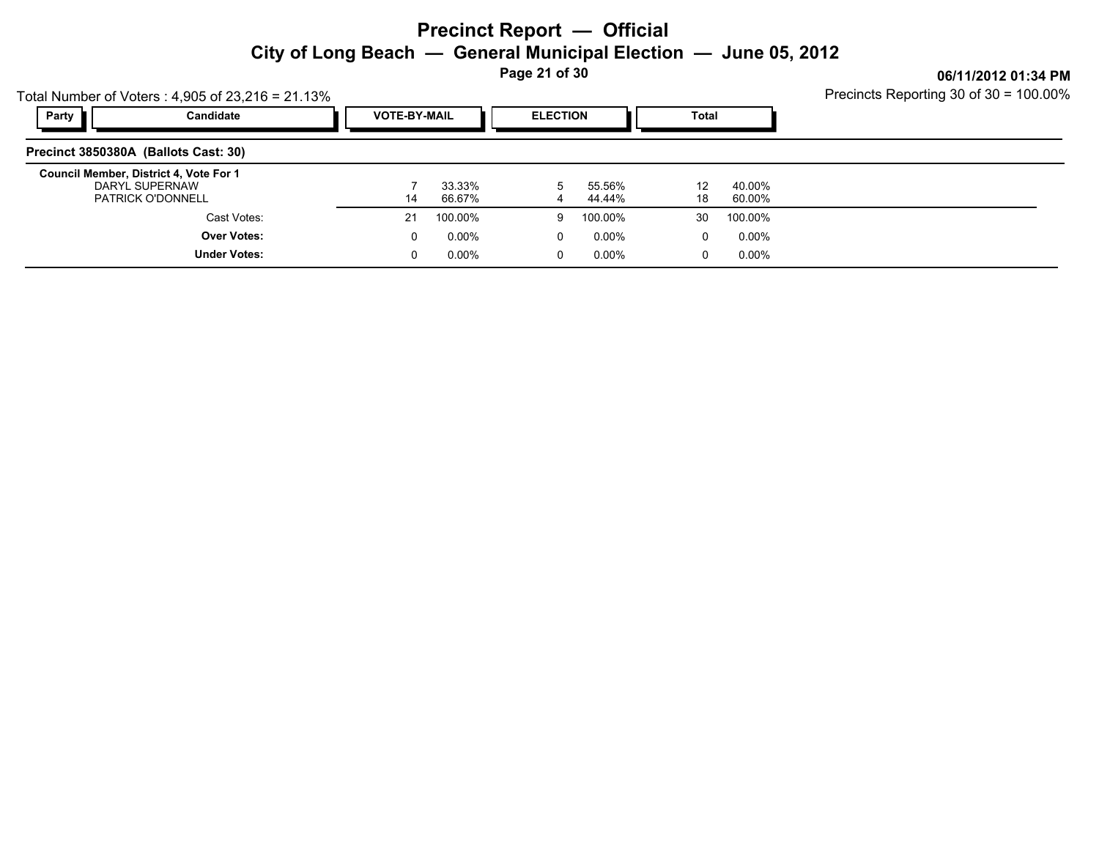**Page 21 of 30**

Precincts Reporting 30 of 30 = 100.00%

|                                        | Total Number of Voters: $4,905$ of $23,216 = 21.13\%$ | Precincts Reporting 30 of 30 = 100.00% |  |                 |                  |                       |                  |  |
|----------------------------------------|-------------------------------------------------------|----------------------------------------|--|-----------------|------------------|-----------------------|------------------|--|
| Party                                  | Candidate                                             | <b>VOTE-BY-MAIL</b>                    |  | <b>ELECTION</b> |                  | Total                 |                  |  |
| Precinct 3850380A (Ballots Cast: 30)   |                                                       |                                        |  |                 |                  |                       |                  |  |
| Council Member, District 4, Vote For 1 | DARYL SUPERNAW<br><b>PATRICK O'DONNELL</b>            | 33.33%<br>66.67%<br>14                 |  |                 | 55.56%<br>44.44% | 12 <sup>°</sup><br>18 | 40.00%<br>60.00% |  |
|                                        | Cast Votes:                                           | 100.00%<br>21                          |  | 9               | 100.00%          | 30                    | 100.00%          |  |
|                                        | <b>Over Votes:</b>                                    | $0.00\%$<br>0                          |  | 0               | 0.00%            | 0                     | 0.00%            |  |
|                                        | <b>Under Votes:</b>                                   | $0.00\%$<br>0                          |  | $\mathbf 0$     | 0.00%            | 0                     | 0.00%            |  |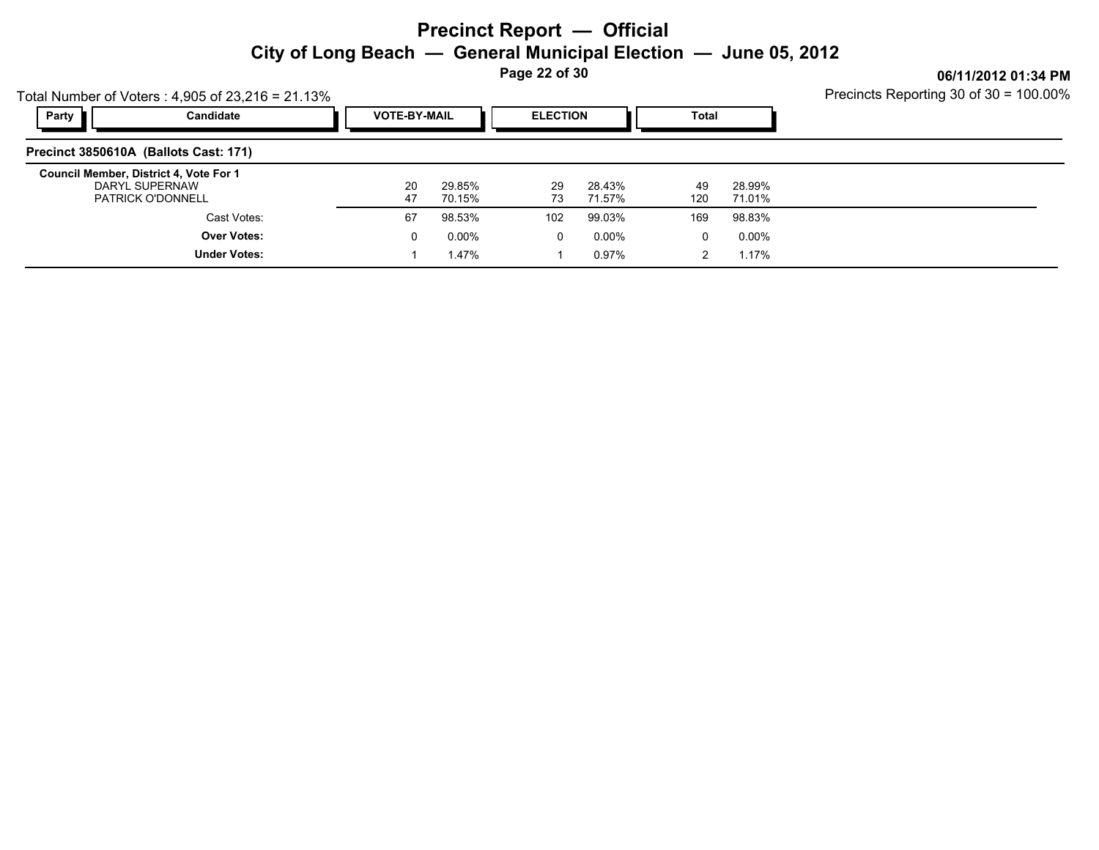**Page 22 of 30**

|                                                          | Total Number of Voters: $4,905$ of 23,216 = 21.13% | Precincts Reporting 30 of 30 = 100.00% |                  |          |                  |           |                  |  |
|----------------------------------------------------------|----------------------------------------------------|----------------------------------------|------------------|----------|------------------|-----------|------------------|--|
| Party                                                    | Candidate                                          | <b>VOTE-BY-MAIL</b>                    |                  |          | <b>ELECTION</b>  |           | <b>Total</b>     |  |
| Precinct 3850610A (Ballots Cast: 171)                    |                                                    |                                        |                  |          |                  |           |                  |  |
| Council Member, District 4, Vote For 1<br>DARYL SUPERNAW | <b>PATRICK O'DONNELL</b>                           | 20<br>47                               | 29.85%<br>70.15% | 29<br>73 | 28.43%<br>71.57% | 49<br>120 | 28.99%<br>71.01% |  |
|                                                          | Cast Votes:                                        | 67                                     | 98.53%           | 102      | 99.03%           | 169       | 98.83%           |  |
|                                                          | <b>Over Votes:</b>                                 | 0                                      | $0.00\%$         | $\Omega$ | 0.00%            | $\Omega$  | 0.00%            |  |
|                                                          | <b>Under Votes:</b>                                |                                        | 1.47%            |          | 0.97%            |           | 1.17%            |  |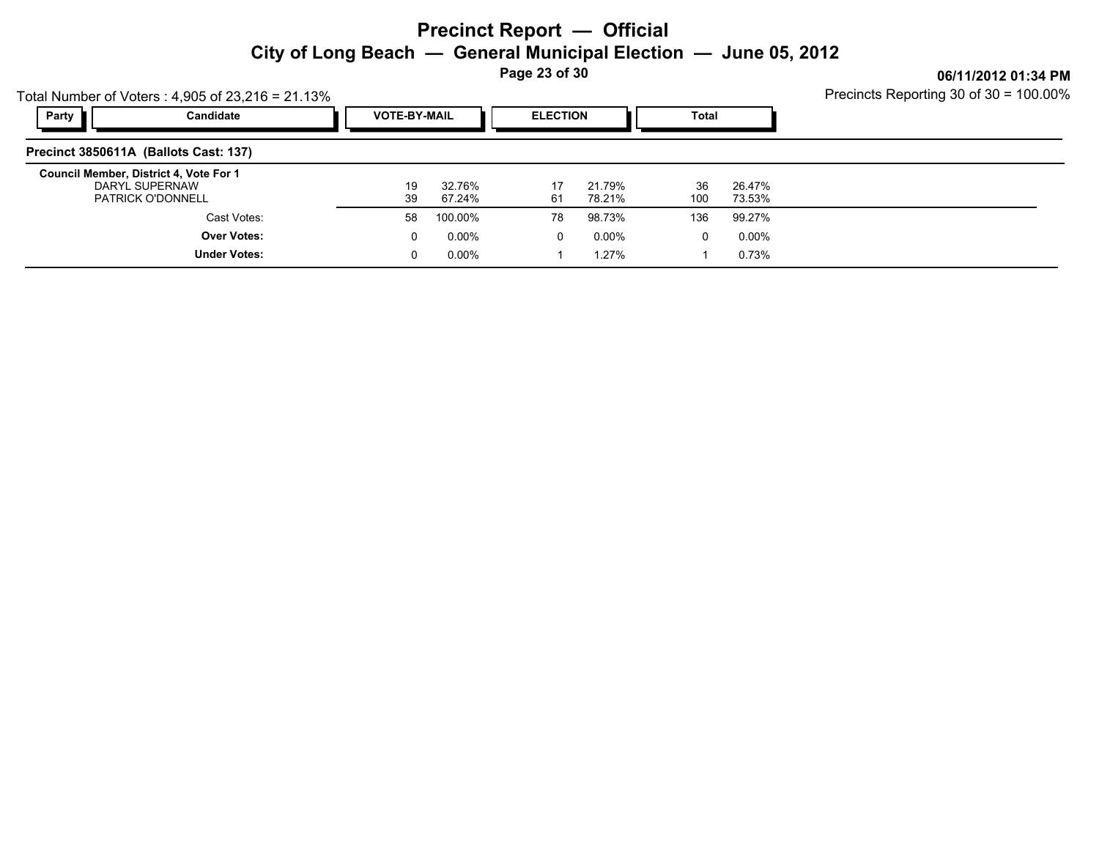**Page 23 of 30**

|       | Total Number of Voters: $4,905$ of 23,216 = 21.13%                                   | Precincts Reporting 30 of 30 = 100.00% |                  |                 |                  |           |                  |  |
|-------|--------------------------------------------------------------------------------------|----------------------------------------|------------------|-----------------|------------------|-----------|------------------|--|
| Party | Candidate                                                                            | <b>VOTE-BY-MAIL</b>                    |                  | <b>ELECTION</b> |                  | Total     |                  |  |
|       | Precinct 3850611A (Ballots Cast: 137)                                                |                                        |                  |                 |                  |           |                  |  |
|       | Council Member, District 4, Vote For 1<br>DARYL SUPERNAW<br><b>PATRICK O'DONNELL</b> | 19<br>39                               | 32.76%<br>67.24% | 17<br>61        | 21.79%<br>78.21% | 36<br>100 | 26.47%<br>73.53% |  |
|       | Cast Votes:                                                                          | 58                                     | 100.00%          | 78              | 98.73%           | 136       | 99.27%           |  |
|       | <b>Over Votes:</b>                                                                   | 0                                      | $0.00\%$         | 0               | 0.00%            | 0         | $0.00\%$         |  |
|       | <b>Under Votes:</b>                                                                  | 0                                      | 0.00%            |                 | 1.27%            |           | 0.73%            |  |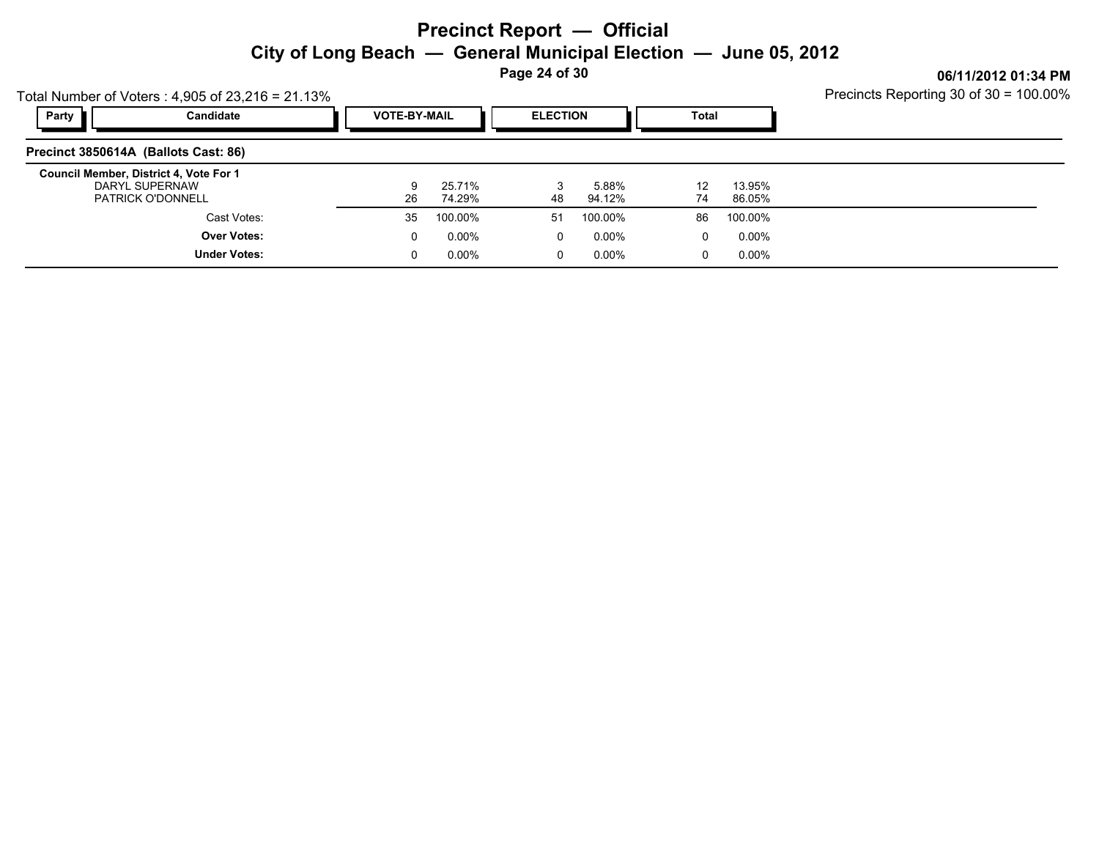**Page 24 of 30**

Precincts Reporting 30 of 30 = 100.00%

|                                        | Total Number of Voters: $4,905$ of $23,216 = 21.13\%$ | Precincts Reporting 30 of 30 = 100.00% |                       |                 |                 |              |                  |  |
|----------------------------------------|-------------------------------------------------------|----------------------------------------|-----------------------|-----------------|-----------------|--------------|------------------|--|
| Party                                  | Candidate                                             |                                        | <b>VOTE-BY-MAIL</b>   | <b>ELECTION</b> |                 | <b>Total</b> |                  |  |
| Precinct 3850614A (Ballots Cast: 86)   |                                                       |                                        |                       |                 |                 |              |                  |  |
| Council Member, District 4, Vote For 1 | DARYL SUPERNAW<br><b>PATRICK O'DONNELL</b>            | 26                                     | 25.71%<br>9<br>74.29% | 48              | 5.88%<br>94.12% | 12<br>74     | 13.95%<br>86.05% |  |
|                                        | Cast Votes:                                           | 35                                     | 100.00%               | 51              | 100.00%         | 86           | 100.00%          |  |
|                                        | <b>Over Votes:</b>                                    |                                        | $0.00\%$<br>0         | 0               | 0.00%           | 0            | $0.00\%$         |  |
|                                        | <b>Under Votes:</b>                                   |                                        | $0.00\%$<br>0         | 0               | 0.00%           | $\Omega$     | 0.00%            |  |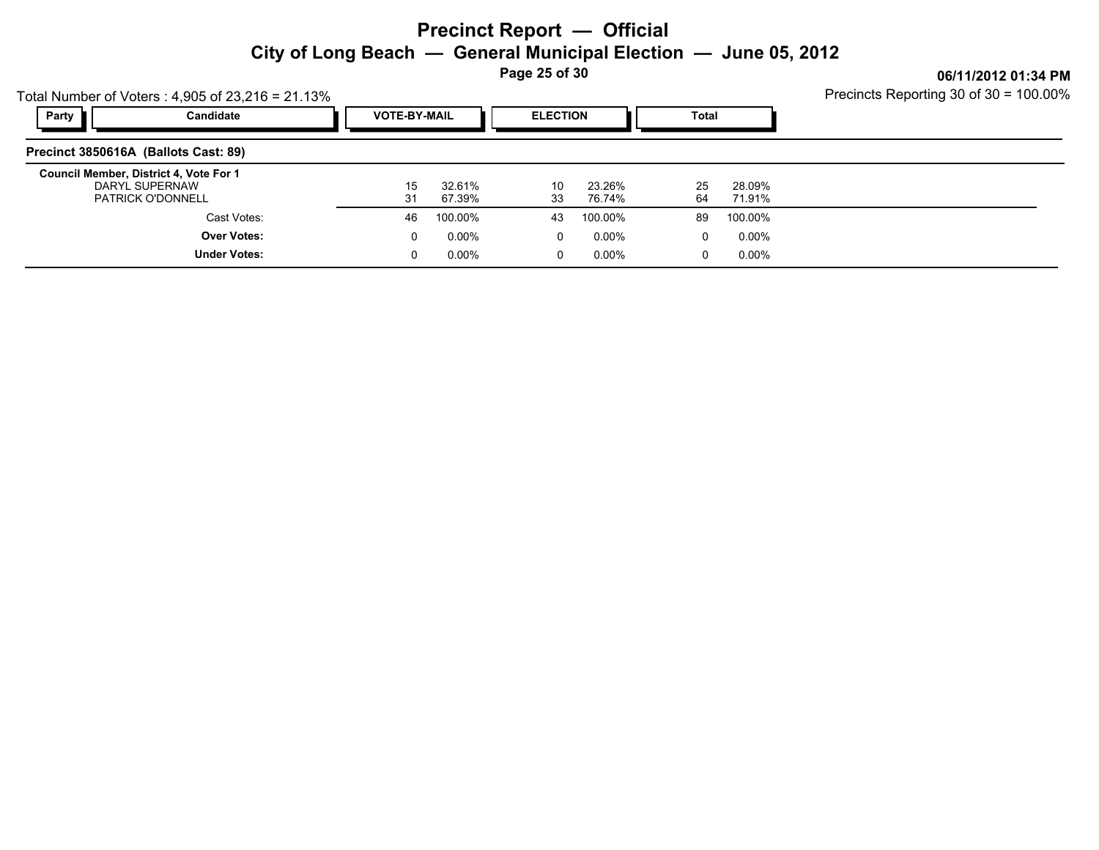**Page 25 of 30**

|                                                                                      | Total Number of Voters: $4,905$ of 23,216 = 21.13% | Precincts Reporting 30 of 30 = 100.00% |                  |                 |                  |          |                         |  |
|--------------------------------------------------------------------------------------|----------------------------------------------------|----------------------------------------|------------------|-----------------|------------------|----------|-------------------------|--|
| Party                                                                                | Candidate                                          | <b>VOTE-BY-MAIL</b>                    |                  | <b>ELECTION</b> |                  |          | <b>Total</b>            |  |
| Precinct 3850616A (Ballots Cast: 89)                                                 |                                                    |                                        |                  |                 |                  |          |                         |  |
| Council Member, District 4, Vote For 1<br>DARYL SUPERNAW<br><b>PATRICK O'DONNELL</b> |                                                    | 15<br>31                               | 32.61%<br>67.39% | 10<br>33        | 23.26%<br>76.74% | 25<br>64 | 28.09%<br>71.91%        |  |
|                                                                                      | Cast Votes:                                        | 46                                     | 100.00%          | 43              | 100.00%          | 89       | 100.00%                 |  |
|                                                                                      | <b>Over Votes:</b>                                 | 0                                      | $0.00\%$         | $\Omega$        | 0.00%            |          | 0.00%<br>0              |  |
|                                                                                      | <b>Under Votes:</b>                                | 0                                      | $0.00\%$         | 0               | 0.00%            |          | $0.00\%$<br>$\mathbf 0$ |  |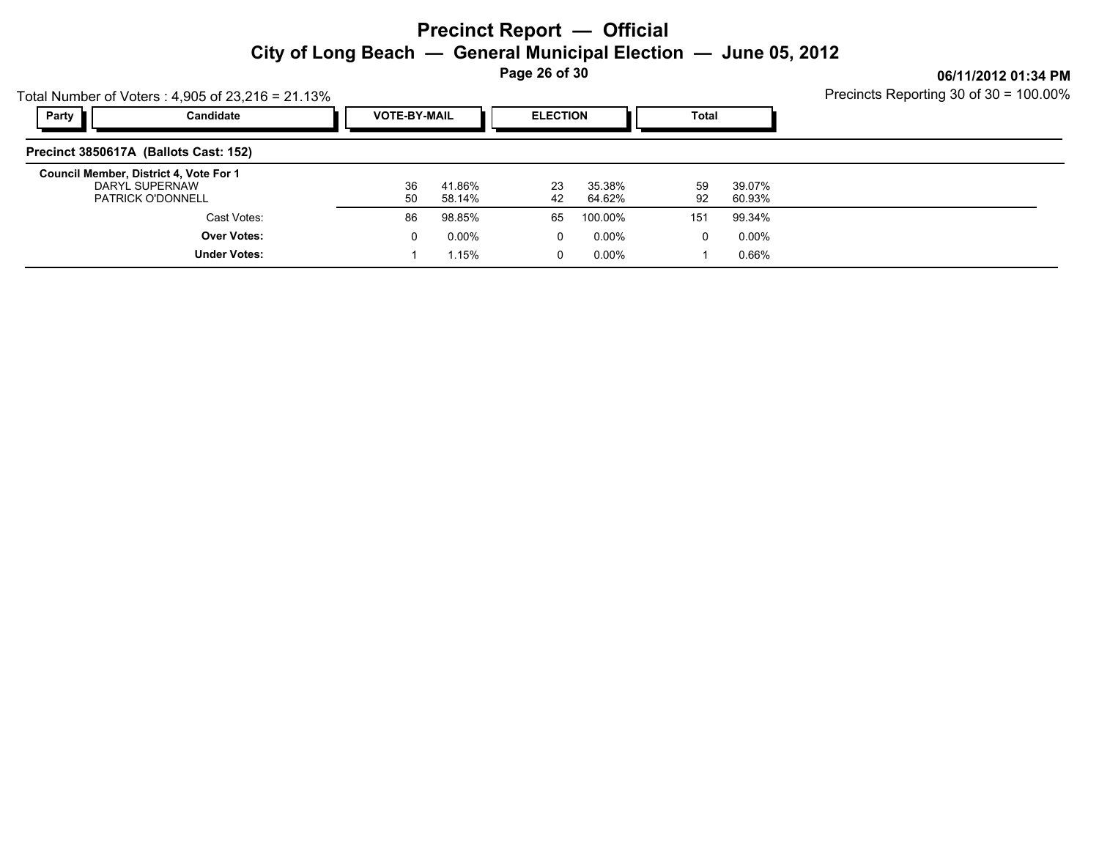**Page 26 of 30**

|       | Total Number of Voters: $4,905$ of 23,216 = 21.13%                                   | Precincts Reporting 30 of 30 = 100.00% |                   |                  |                  |              |                  |  |
|-------|--------------------------------------------------------------------------------------|----------------------------------------|-------------------|------------------|------------------|--------------|------------------|--|
| Party | Candidate                                                                            | <b>VOTE-BY-MAIL</b>                    |                   | <b>ELECTION</b>  |                  | <b>Total</b> |                  |  |
|       | Precinct 3850617A (Ballots Cast: 152)                                                |                                        |                   |                  |                  |              |                  |  |
|       | Council Member, District 4, Vote For 1<br>DARYL SUPERNAW<br><b>PATRICK O'DONNELL</b> | 36<br>50                               | 41.86%<br>58.14%  | 23<br>42         | 35.38%<br>64.62% | 59<br>92     | 39.07%<br>60.93% |  |
|       | Cast Votes:                                                                          | 86                                     | 98.85%            | 65               | 100.00%          | 151          | 99.34%           |  |
|       | <b>Over Votes:</b><br><b>Under Votes:</b>                                            | 0                                      | $0.00\%$<br>1.15% | 0<br>$\mathbf 0$ | 0.00%<br>0.00%   | $\Omega$     | 0.00%<br>0.66%   |  |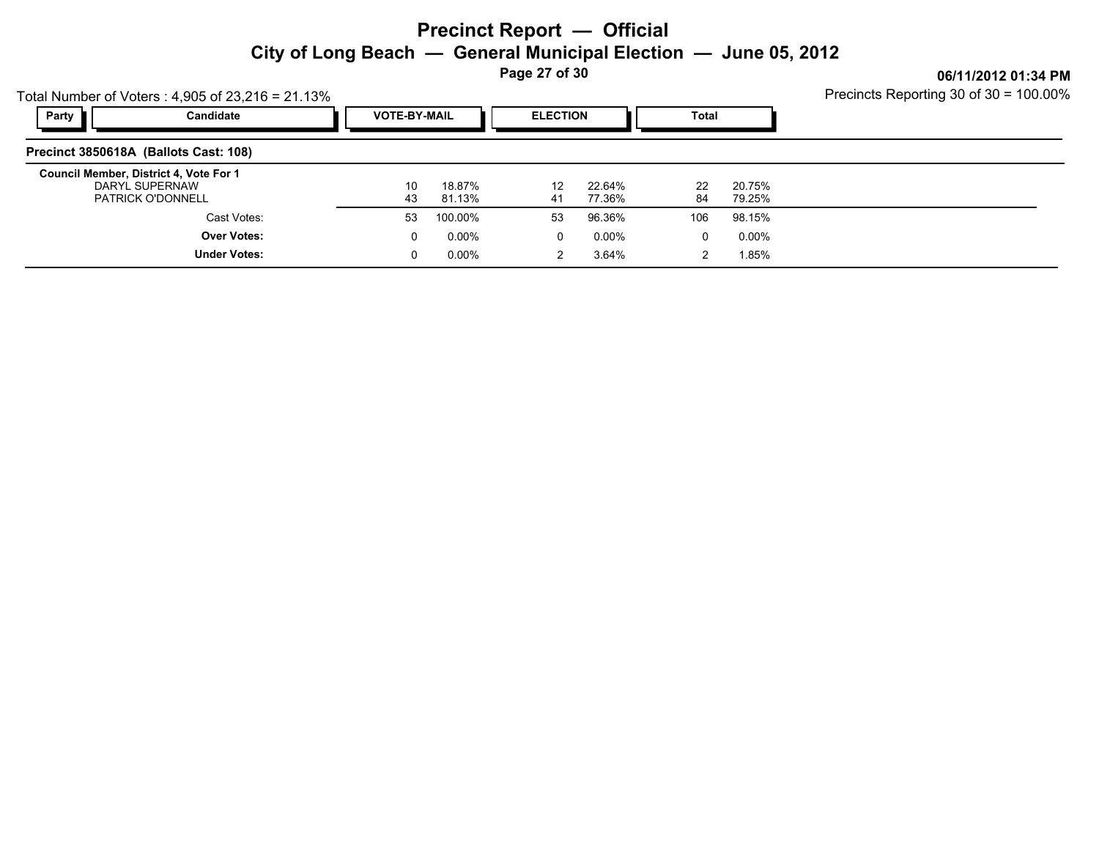**Page 27 of 30**

Precincts Reporting 30 of 30 = 100.00%

|       | Total Number of Voters: $4,905$ of $23,216 = 21.13\%$                                | Precincts Reporting 30 of 30 = 100.00% |                                                 |          |                  |          |                  |  |
|-------|--------------------------------------------------------------------------------------|----------------------------------------|-------------------------------------------------|----------|------------------|----------|------------------|--|
| Party | Candidate                                                                            |                                        | <b>VOTE-BY-MAIL</b><br><b>ELECTION</b><br>Total |          |                  |          |                  |  |
|       | Precinct 3850618A (Ballots Cast: 108)                                                |                                        |                                                 |          |                  |          |                  |  |
|       | Council Member, District 4, Vote For 1<br>DARYL SUPERNAW<br><b>PATRICK O'DONNELL</b> | 10<br>43                               | 18.87%<br>81.13%                                | 12<br>41 | 22.64%<br>77.36% | 22<br>84 | 20.75%<br>79.25% |  |
|       | Cast Votes:                                                                          | 53                                     | 100.00%                                         | 53       | 96.36%           | 106      | 98.15%           |  |
|       | <b>Over Votes:</b>                                                                   | 0                                      | $0.00\%$                                        | 0        | 0.00%            | 0        | 0.00%            |  |
|       | <b>Under Votes:</b>                                                                  | 0                                      | $0.00\%$                                        | 2        | 3.64%            | 2        | 1.85%            |  |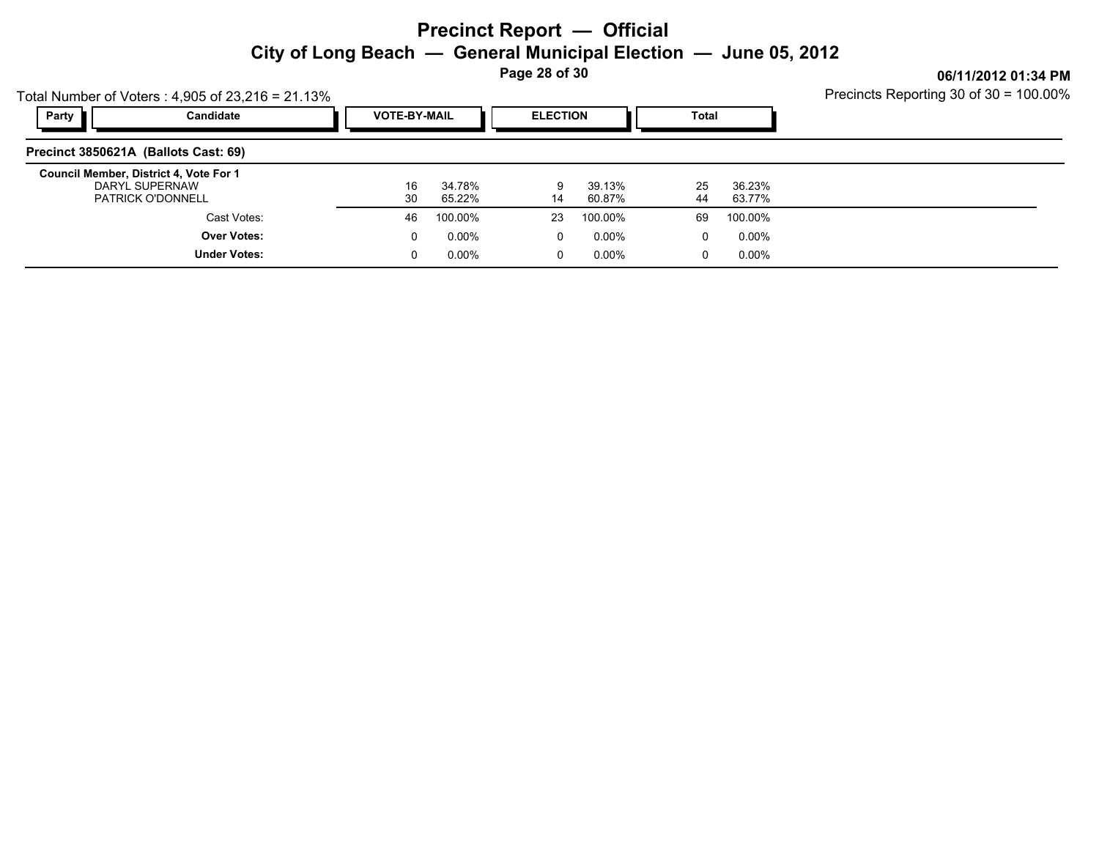**Page 28 of 30**

|                                      | Total Number of Voters: $4,905$ of 23,216 = 21.13%                                   | Precincts Reporting 30 of 30 = 100.00% |         |                  |          |                  |  |
|--------------------------------------|--------------------------------------------------------------------------------------|----------------------------------------|---------|------------------|----------|------------------|--|
| Party                                | Candidate                                                                            | <b>VOTE-BY-MAIL</b>                    |         | <b>ELECTION</b>  |          | Total            |  |
| Precinct 3850621A (Ballots Cast: 69) |                                                                                      |                                        |         |                  |          |                  |  |
|                                      | Council Member, District 4, Vote For 1<br>DARYL SUPERNAW<br><b>PATRICK O'DONNELL</b> | 16<br>34.78%<br>30<br>65.22%           | 9<br>14 | 39.13%<br>60.87% | 25<br>44 | 36.23%<br>63.77% |  |
|                                      | Cast Votes:                                                                          | 100.00%<br>46                          | 23      | 100.00%          | 69       | 100.00%          |  |
|                                      | <b>Over Votes:</b>                                                                   | 0.00%<br>0                             | 0       | $0.00\%$         | $\Omega$ | $0.00\%$         |  |
|                                      | <b>Under Votes:</b>                                                                  | $0.00\%$<br>0                          | 0       | 0.00%            | 0        | $0.00\%$         |  |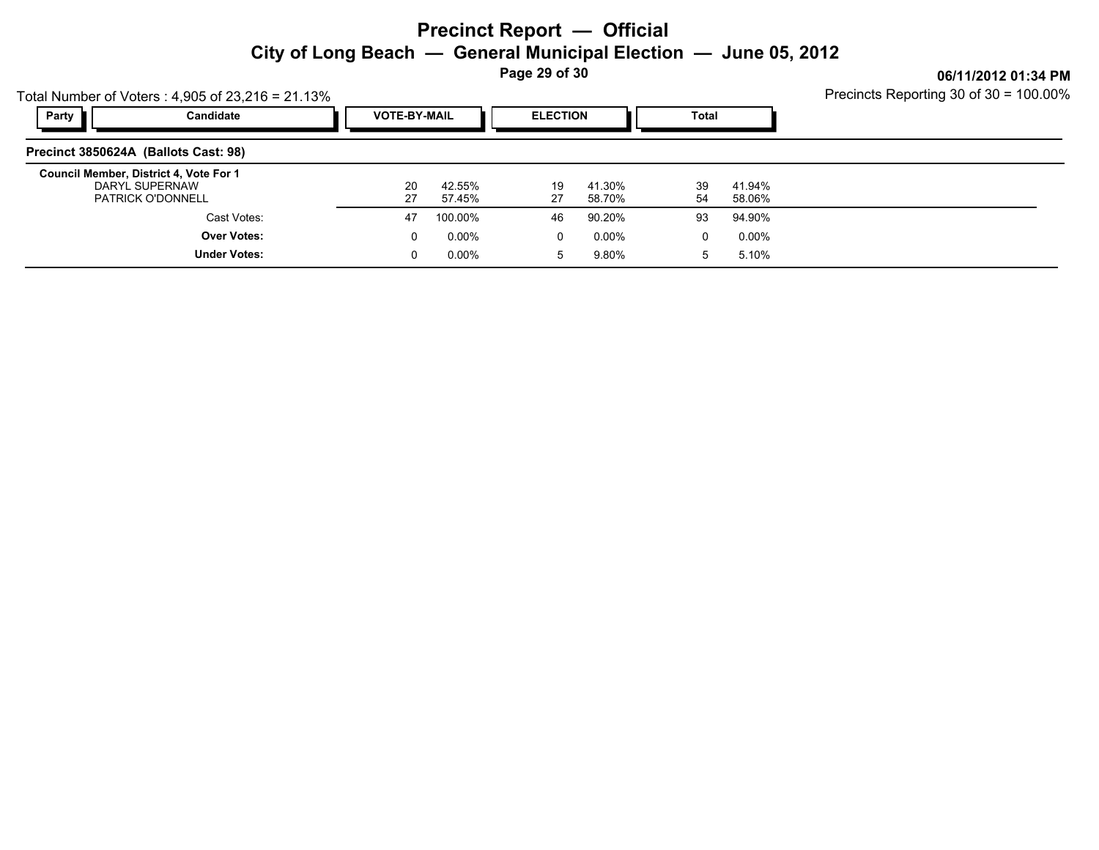**Page 29 of 30**

|       | Total Number of Voters: $4,905$ of $23,216 = 21.13\%$                                | Precincts Reporting 30 of 30 = 100.00% |                     |                 |                  |              |                  |  |
|-------|--------------------------------------------------------------------------------------|----------------------------------------|---------------------|-----------------|------------------|--------------|------------------|--|
| Party | Candidate                                                                            |                                        | <b>VOTE-BY-MAIL</b> | <b>ELECTION</b> |                  | <b>Total</b> |                  |  |
|       | Precinct 3850624A (Ballots Cast: 98)                                                 |                                        |                     |                 |                  |              |                  |  |
|       | Council Member, District 4, Vote For 1<br>DARYL SUPERNAW<br><b>PATRICK O'DONNELL</b> | 20<br>27                               | 42.55%<br>57.45%    | 19<br>27        | 41.30%<br>58.70% | 39<br>54     | 41.94%<br>58.06% |  |
|       | Cast Votes:                                                                          | 47                                     | 100.00%             | 46              | 90.20%           | 93           | 94.90%           |  |
|       | <b>Over Votes:</b>                                                                   |                                        | $0.00\%$<br>0       | 0               | 0.00%            | 0            | 0.00%            |  |
|       | <b>Under Votes:</b>                                                                  |                                        | $0.00\%$            | 5               | 9.80%            | $5^{\circ}$  | 5.10%            |  |